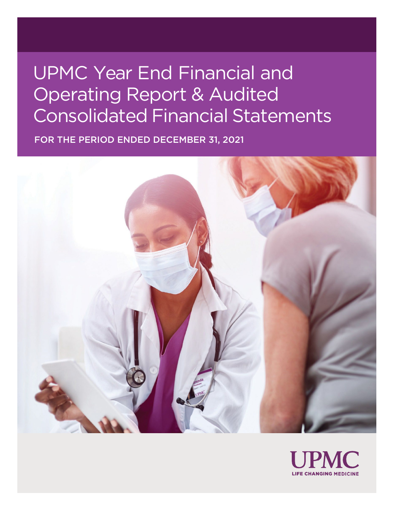# UPMC Year End Financial and Operating Report & Audited Consolidated Financial Statements

FOR THE PERIOD ENDED DECEMBER 31, 2021



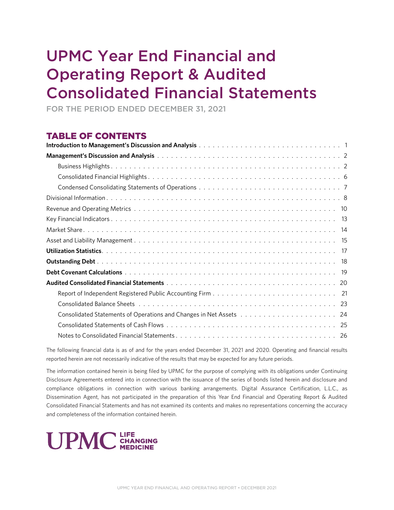# UPMC Year End Financial and Operating Report & Audited Consolidated Financial Statements

FOR THE PERIOD ENDED DECEMBER 31, 2021

## TABLE OF CONTENTS

The following financial data is as of and for the years ended December 31, 2021 and 2020. Operating and financial results reported herein are not necessarily indicative of the results that may be expected for any future periods.

The information contained herein is being filed by UPMC for the purpose of complying with its obligations under Continuing Disclosure Agreements entered into in connection with the issuance of the series of bonds listed herein and disclosure and compliance obligations in connection with various banking arrangements. Digital Assurance Certification, L.L.C., as Dissemination Agent, has not participated in the preparation of this Year End Financial and Operating Report & Audited Consolidated Financial Statements and has not examined its contents and makes no representations concerning the accuracy and completeness of the information contained herein.

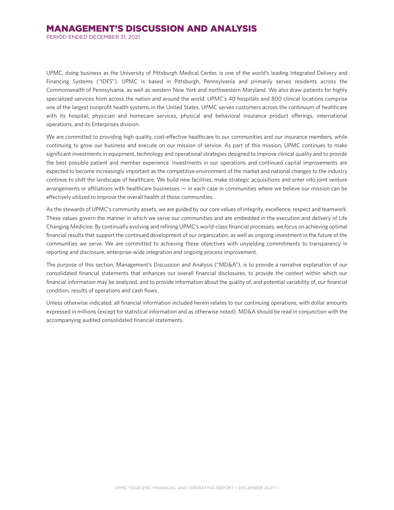PERIOD ENDED DECEMBER 31, 2021

UPMC, doing business as the University of Pittsburgh Medical Center, is one of the world's leading Integrated Delivery and Financing Systems ("IDFS"). UPMC is based in Pittsburgh, Pennsylvania and primarily serves residents across the Commonwealth of Pennsylvania, as well as western New York and northwestern Maryland. We also draw patients for highly specialized services from across the nation and around the world. UPMC's 40 hospitals and 800 clinical locations comprise one of the largest nonprofit health systems in the United States. UPMC serves customers across the continuum of healthcare with its hospital, physician and homecare services, physical and behavioral insurance product offerings, international operations, and its Enterprises division.

We are committed to providing high quality, cost-effective healthcare to our communities and our insurance members, while continuing to grow our business and execute on our mission of service. As part of this mission, UPMC continues to make significant investments in equipment, technology and operational strategies designed to improve clinical quality and to provide the best possible patient and member experience. Investments in our operations and continued capital improvements are expected to become increasingly important as the competitive environment of the market and national changes to the industry continue to shift the landscape of healthcare. We build new facilities, make strategic acquisitions and enter into joint venture arrangements or affiliations with healthcare businesses — in each case in communities where we believe our mission can be effectively utilized to improve the overall health of those communities.

As the stewards of UPMC's community assets, we are guided by our core values of integrity, excellence, respect and teamwork. These values govern the manner in which we serve our communities and are embedded in the execution and delivery of Life Changing Medicine. By continually evolving and refining UPMC's world-class financial processes, we focus on achieving optimal financial results that support the continued development of our organization, as well as ongoing investment in the future of the communities we serve. We are committed to achieving these objectives with unyielding commitments to transparency in reporting and disclosure, enterprise-wide integration and ongoing process improvement.

The purpose of this section, Management's Discussion and Analysis ("MD&A"), is to provide a narrative explanation of our consolidated financial statements that enhances our overall financial disclosures, to provide the context within which our financial information may be analyzed, and to provide information about the quality of, and potential variability of, our financial condition, results of operations and cash flows.

Unless otherwise indicated, all financial information included herein relates to our continuing operations, with dollar amounts expressed in millions (except for statistical information and as otherwise noted). MD&A should be read in conjunction with the accompanying audited consolidated financial statements.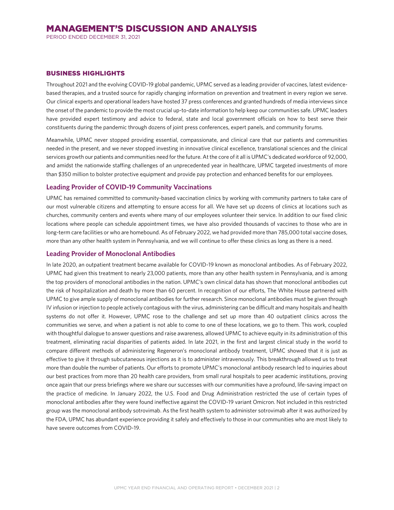PERIOD ENDED DECEMBER 31, 2021

#### BUSINESS HIGHLIGHTS

Throughout 2021 and the evolving COVID-19 global pandemic, UPMC served as a leading provider of vaccines, latest evidencebased therapies, and a trusted source for rapidly changing information on prevention and treatment in every region we serve. Our clinical experts and operational leaders have hosted 37 press conferences and granted hundreds of media interviews since the onset of the pandemic to provide the most crucial up-to-date information to help keep our communities safe. UPMC leaders have provided expert testimony and advice to federal, state and local government officials on how to best serve their constituents during the pandemic through dozens of joint press conferences, expert panels, and community forums.

Meanwhile, UPMC never stopped providing essential, compassionate, and clinical care that our patients and communities needed in the present, and we never stopped investing in innovative clinical excellence, translational sciences and the clinical services growth our patients and communities need for the future. At the core of it all is UPMC's dedicated workforce of 92,000, and amidst the nationwide staffing challenges of an unprecedented year in healthcare, UPMC targeted investments of more than \$350 million to bolster protective equipment and provide pay protection and enhanced benefits for our employees.

#### **Leading Provider of COVID-19 Community Vaccinations**

UPMC has remained committed to community-based vaccination clinics by working with community partners to take care of our most vulnerable citizens and attempting to ensure access for all. We have set up dozens of clinics at locations such as churches, community centers and events where many of our employees volunteer their service. In addition to our fixed clinic locations where people can schedule appointment times, we have also provided thousands of vaccines to those who are in long-term care facilities or who are homebound. As of February 2022, we had provided more than 785,000 total vaccine doses, more than any other health system in Pennsylvania, and we will continue to offer these clinics as long as there is a need.

#### **Leading Provider of Monoclonal Antibodies**

In late 2020, an outpatient treatment became available for COVID-19 known as monoclonal antibodies. As of February 2022, UPMC had given this treatment to nearly 23,000 patients, more than any other health system in Pennsylvania, and is among the top providers of monoclonal antibodies in the nation. UPMC's own clinical data has shown that monoclonal antibodies cut the risk of hospitalization and death by more than 60 percent. In recognition of our efforts, The White House partnered with UPMC to give ample supply of monoclonal antibodies for further research. Since monoclonal antibodies must be given through IV infusion or injection to people actively contagious with the virus, administering can be difficult and many hospitals and health systems do not offer it. However, UPMC rose to the challenge and set up more than 40 outpatient clinics across the communities we serve, and when a patient is not able to come to one of these locations, we go to them. This work, coupled with thoughtful dialogue to answer questions and raise awareness, allowed UPMC to achieve equity in its administration of this treatment, eliminating racial disparities of patients aided. In late 2021, in the first and largest clinical study in the world to compare different methods of administering Regeneron's monoclonal antibody treatment, UPMC showed that it is just as effective to give it through subcutaneous injections as it is to administer intravenously. This breakthrough allowed us to treat more than double the number of patients. Our efforts to promote UPMC's monoclonal antibody research led to inquiries about our best practices from more than 20 health care providers, from small rural hospitals to peer academic institutions, proving once again that our press briefings where we share our successes with our communities have a profound, life-saving impact on the practice of medicine. In January 2022, the U.S. Food and Drug Administration restricted the use of certain types of monoclonal antibodies after they were found ineffective against the COVID-19 variant Omicron. Not included in this restricted group was the monoclonal antibody sotrovimab. As the first health system to administer sotrovimab after it was authorized by the FDA, UPMC has abundant experience providing it safely and effectively to those in our communities who are most likely to have severe outcomes from COVID-19.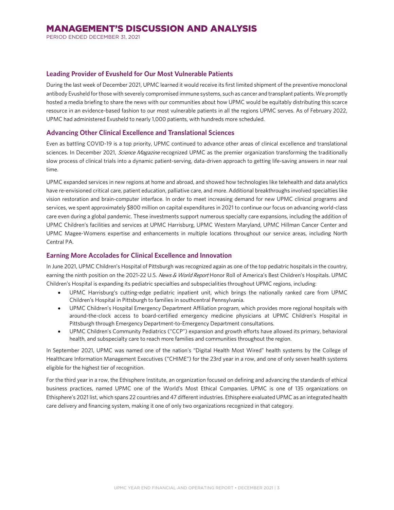PERIOD ENDED DECEMBER 31, 2021

## **Leading Provider of Evusheld for Our Most Vulnerable Patients**

During the last week of December 2021, UPMC learned it would receive its first limited shipment of the preventive monoclonal antibody Evusheld for those with severely compromised immune systems, such as cancer and transplant patients. We promptly hosted a media briefing to share the news with our communities about how UPMC would be equitably distributing this scarce resource in an evidence-based fashion to our most vulnerable patients in all the regions UPMC serves. As of February 2022, UPMC had administered Evusheld to nearly 1,000 patients, with hundreds more scheduled.

## **Advancing Other Clinical Excellence and Translational Sciences**

Even as battling COVID-19 is a top priority, UPMC continued to advance other areas of clinical excellence and translational sciences. In December 2021, Science Magazine recognized UPMC as the premier organization transforming the traditionally slow process of clinical trials into a dynamic patient-serving, data-driven approach to getting life-saving answers in near real time.

UPMC expanded services in new regions at home and abroad, and showed how technologies like telehealth and data analytics have re-envisioned critical care, patient education, palliative care, and more. Additional breakthroughs involved specialties like vision restoration and brain-computer interface. In order to meet increasing demand for new UPMC clinical programs and services, we spent approximately \$800 million on capital expenditures in 2021 to continue our focus on advancing world-class care even during a global pandemic. These investments support numerous specialty care expansions, including the addition of UPMC Children's facilities and services at UPMC Harrisburg, UPMC Western Maryland, UPMC Hillman Cancer Center and UPMC Magee-Womens expertise and enhancements in multiple locations throughout our service areas, including North Central PA.

## **Earning More Accolades for Clinical Excellence and Innovation**

In June 2021, UPMC Children's Hospital of Pittsburgh was recognized again as one of the top pediatric hospitals in the country, earning the ninth position on the 2021-22 U.S. News & World Report Honor Roll of America's Best Children's Hospitals. UPMC Children's Hospital is expanding its pediatric specialties and subspecialities throughout UPMC regions, including:

- UPMC Harrisburg's cutting-edge pediatric inpatient unit, which brings the nationally ranked care from UPMC Children's Hospital in Pittsburgh to families in southcentral Pennsylvania.
- UPMC Children's Hospital Emergency Department Affiliation program, which provides more regional hospitals with around-the-clock access to board-certified emergency medicine physicians at UPMC Children's Hospital in Pittsburgh through Emergency Department-to-Emergency Department consultations.
- UPMC Children's Community Pediatrics ("CCP") expansion and growth efforts have allowed its primary, behavioral health, and subspecialty care to reach more families and communities throughout the region.

In September 2021, UPMC was named one of the nation's "Digital Health Most Wired" health systems by the College of Healthcare Information Management Executives ("CHIME") for the 23rd year in a row, and one of only seven health systems eligible for the highest tier of recognition.

For the third year in a row, the Ethisphere Institute, an organization focused on defining and advancing the standards of ethical business practices, named UPMC one of the World's Most Ethical Companies. UPMC is one of 135 organizations on Ethisphere's 2021 list, which spans 22 countries and 47 different industries. Ethisphere evaluated UPMC as an integrated health care delivery and financing system, making it one of only two organizations recognized in that category.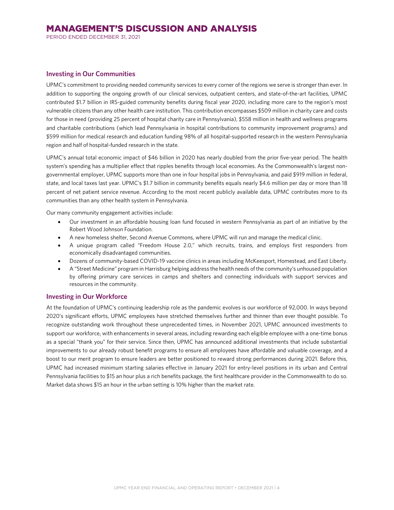PERIOD ENDED DECEMBER 31, 2021

#### **Investing in Our Communities**

UPMC's commitment to providing needed community services to every corner of the regions we serve is stronger than ever. In addition to supporting the ongoing growth of our clinical services, outpatient centers, and state-of-the-art facilities, UPMC contributed \$1.7 billion in IRS-guided community benefits during fiscal year 2020, including more care to the region's most vulnerable citizens than any other health care institution. This contribution encompasses \$509 million in charity care and costs for those in need (providing 25 percent of hospital charity care in Pennsylvania), \$558 million in health and wellness programs and charitable contributions (which lead Pennsylvania in hospital contributions to community improvement programs) and \$599 million for medical research and education funding 98% of all hospital-supported research in the western Pennsylvania region and half of hospital-funded research in the state.

UPMC's annual total economic impact of \$46 billion in 2020 has nearly doubled from the prior five-year period. The health system's spending has a multiplier effect that ripples benefits through local economies. As the Commonwealth's largest nongovernmental employer, UPMC supports more than one in four hospital jobs in Pennsylvania, and paid \$919 million in federal, state, and local taxes last year. UPMC's \$1.7 billion in community benefits equals nearly \$4.6 million per day or more than 18 percent of net patient service revenue. According to the most recent publicly available data, UPMC contributes more to its communities than any other health system in Pennsylvania.

Our many community engagement activities include:

- Our investment in an affordable housing loan fund focused in western Pennsylvania as part of an initiative by the Robert Wood Johnson Foundation.
- A new homeless shelter, Second Avenue Commons, where UPMC will run and manage the medical clinic.
- A unique program called "Freedom House 2.0," which recruits, trains, and employs first responders from economically disadvantaged communities.
- Dozens of community-based COVID-19 vaccine clinics in areas including McKeesport, Homestead, and East Liberty.
- A "Street Medicine" program in Harrisburg helping address the health needs of the community's unhoused population by offering primary care services in camps and shelters and connecting individuals with support services and resources in the community.

#### **Investing in Our Workforce**

At the foundation of UPMC's continuing leadership role as the pandemic evolves is our workforce of 92,000. In ways beyond 2020's significant efforts, UPMC employees have stretched themselves further and thinner than ever thought possible. To recognize outstanding work throughout these unprecedented times, in November 2021, UPMC announced investments to support our workforce, with enhancements in several areas, including rewarding each eligible employee with a one-time bonus as a special "thank you" for their service. Since then, UPMC has announced additional investments that include substantial improvements to our already robust benefit programs to ensure all employees have affordable and valuable coverage, and a boost to our merit program to ensure leaders are better positioned to reward strong performances during 2021. Before this, UPMC had increased minimum starting salaries effective in January 2021 for entry-level positions in its urban and Central Pennsylvania facilities to \$15 an hour plus a rich benefits package, the first healthcare provider in the Commonwealth to do so. Market data shows \$15 an hour in the urban setting is 10% higher than the market rate.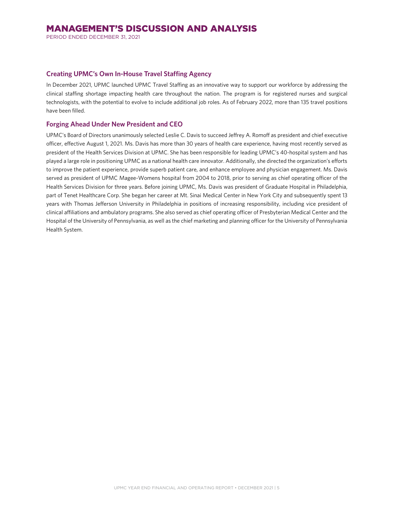PERIOD ENDED DECEMBER 31, 2021

## **Creating UPMC's Own In-House Travel Staffing Agency**

In December 2021, UPMC launched UPMC Travel Staffing as an innovative way to support our workforce by addressing the clinical staffing shortage impacting health care throughout the nation. The program is for registered nurses and surgical technologists, with the potential to evolve to include additional job roles. As of February 2022, more than 135 travel positions have been filled.

## **Forging Ahead Under New President and CEO**

UPMC's Board of Directors unanimously selected Leslie C. Davis to succeed Jeffrey A. Romoff as president and chief executive officer, effective August 1, 2021. Ms. Davis has more than 30 years of health care experience, having most recently served as president of the Health Services Division at UPMC. She has been responsible for leading UPMC's 40-hospital system and has played a large role in positioning UPMC as a national health care innovator. Additionally, she directed the organization's efforts to improve the patient experience, provide superb patient care, and enhance employee and physician engagement. Ms. Davis served as president of UPMC Magee-Womens hospital from 2004 to 2018, prior to serving as chief operating officer of the Health Services Division for three years. Before joining UPMC, Ms. Davis was president of Graduate Hospital in Philadelphia, part of Tenet Healthcare Corp. She began her career at Mt. Sinai Medical Center in New York City and subsequently spent 13 years with Thomas Jefferson University in Philadelphia in positions of increasing responsibility, including vice president of clinical affiliations and ambulatory programs. She also served as chief operating officer of Presbyterian Medical Center and the Hospital of the University of Pennsylvania, as well as the chief marketing and planning officer for the University of Pennsylvania Health System.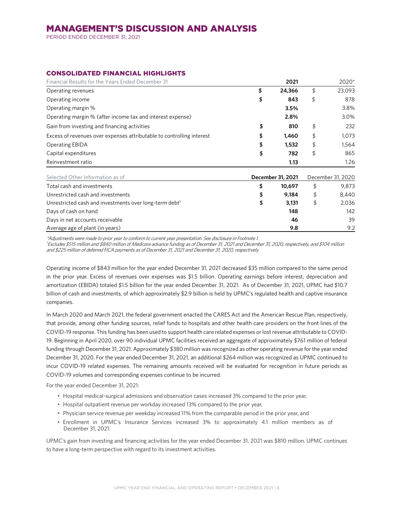PERIOD ENDED DECEMBER 31, 2021

## CONSOLIDATED FINANCIAL HIGHLIGHTS

| Financial Results for the Years Ended December 31                     | 2021              | 2020*             |
|-----------------------------------------------------------------------|-------------------|-------------------|
| Operating revenues                                                    | \$<br>24,366      | \$<br>23,093      |
| Operating income                                                      | \$<br>843         | \$<br>878         |
| Operating margin %                                                    | 3.5%              | 3.8%              |
| Operating margin % (after income tax and interest expense)            | 2.8%              | 3.0%              |
| Gain from investing and financing activities                          | \$<br>810         | \$<br>232         |
| Excess of revenues over expenses attributable to controlling interest | \$<br>1,460       | \$<br>1,073       |
| <b>Operating EBIDA</b>                                                | \$<br>1,532       | \$<br>1,564       |
| Capital expenditures                                                  | \$<br>782         | \$<br>865         |
| Reinvestment ratio                                                    | 1.13              | 1.26              |
| Selected Other Information as of                                      | December 31, 2021 | December 31, 2020 |
| Total cash and investments                                            | \$<br>10,697      | \$<br>9,873       |
| Unrestricted cash and investments                                     | \$<br>9,184       | \$<br>8,440       |
| Unrestricted cash and investments over long-term debt <sup>1</sup>    | \$<br>3,131       | \$<br>2,036       |
| Days of cash on hand                                                  | 148               | 142               |
| Days in net accounts receivable                                       | 46                | 39                |
| Average age of plant (in years)                                       | 9.8               | 9.2               |

\*Adjustments were made to prior year to conform to current year presentation. See disclosure in Footnote 1.

<sup>1</sup>Excludes \$515 million and \$840 million of Medicare advance funding as of December 31, 2021 and December 31, 2020, respectively, and \$104 million and \$225 million of deferred FICA payments as of December 31, 2021 and December 31, 2020, respectively.

Operating income of \$843 million for the year ended December 31, 2021 decreased \$35 million compared to the same period in the prior year. Excess of revenues over expenses was \$1.5 billion. Operating earnings before interest, depreciation and amortization (EBIDA) totaled \$1.5 billion for the year ended December 31, 2021. As of December 31, 2021, UPMC had \$10.7 billion of cash and investments, of which approximately \$2.9 billion is held by UPMC's regulated health and captive insurance companies.

In March 2020 and March 2021, the federal government enacted the CARES Act and the American Rescue Plan, respectively, that provide, among other funding sources, relief funds to hospitals and other health care providers on the front lines of the COVID-19 response. This funding has been used to support health care related expenses or lost revenue attributable to COVID-19. Beginning in April 2020, over 90 individual UPMC facilities received an aggregate of approximately \$761 million of federal funding through December 31, 2021. Approximately \$380 million was recognized as other operating revenue for the year ended December 31, 2020. For the year ended December 31, 2021, an additional \$264 million was recognized as UPMC continued to incur COVID-19 related expenses. The remaining amounts received will be evaluated for recognition in future periods as COVID-19 volumes and corresponding expenses continue to be incurred.

For the year ended December 31, 2021:

- Hospital medical-surgical admissions and observation cases increased 3% compared to the prior year,
- Hospital outpatient revenue per workday increased 13% compared to the prior year,
- Physician service revenue per weekday increased 11% from the comparable period in the prior year, and
- Enrollment in UPMC's Insurance Services increased 3% to approximately 4.1 million members as of December 31, 2021.

UPMC's gain from investing and financing activities for the year ended December 31, 2021 was \$810 million. UPMC continues to have a long-term perspective with regard to its investment activities.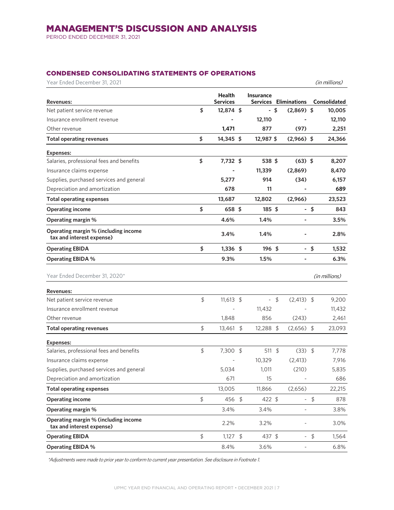PERIOD ENDED DECEMBER 31, 2021

## CONDENSED CONSOLIDATING STATEMENTS OF OPERATIONS

| Year Ended December 31, 2021                                      |         |                           |                          |               |                              |        | (in millions) |
|-------------------------------------------------------------------|---------|---------------------------|--------------------------|---------------|------------------------------|--------|---------------|
| <b>Revenues:</b>                                                  |         | Health<br><b>Services</b> | Insurance                |               | <b>Services Eliminations</b> |        | Consolidated  |
| Net patient service revenue                                       | \$      | 12,874 \$                 |                          | - \$          | $(2,869)$ \$                 |        | 10,005        |
| Insurance enrollment revenue                                      |         |                           | 12,110                   |               |                              |        | 12,110        |
| Other revenue                                                     |         | 1,471                     | 877                      |               | (97)                         |        | 2,251         |
| <b>Total operating revenues</b>                                   | \$      | 14,345 \$                 | 12,987 \$                |               | $(2,966)$ \$                 |        | 24,366        |
| <b>Expenses:</b>                                                  |         |                           |                          |               |                              |        |               |
| Salaries, professional fees and benefits                          | \$      | 7,732 \$                  | 538 \$                   |               | $(63)$ \$                    |        | 8,207         |
| Insurance claims expense                                          |         |                           | 11,339                   |               | (2,869)                      |        | 8,470         |
| Supplies, purchased services and general                          |         | 5,277                     | 914                      |               | (34)                         |        | 6,157         |
| Depreciation and amortization                                     |         | 678                       | 11                       |               |                              |        | 689           |
| <b>Total operating expenses</b>                                   |         | 13,687                    | 12,802                   |               | (2,966)                      |        | 23,523        |
| <b>Operating income</b>                                           | \$      | 658 \$                    | $185 \text{ }$ \$        |               |                              | - \$   | 843           |
| Operating margin %                                                |         | 4.6%                      | 1.4%                     |               | $\overline{\phantom{a}}$     |        | 3.5%          |
| Operating margin % (including income<br>tax and interest expense) |         | 3.4%                      | 1.4%                     |               |                              |        | 2.8%          |
| <b>Operating EBIDA</b>                                            | \$      | $1,336$ \$                | 196 \$                   |               |                              | $-$ \$ | 1,532         |
| <b>Operating EBIDA %</b>                                          |         | 9.3%                      | 1.5%                     |               |                              |        | 6.3%          |
| Year Ended December 31, 2020*                                     |         |                           |                          |               |                              |        | (in millions) |
| <b>Revenues:</b>                                                  |         |                           |                          |               |                              |        |               |
| Net patient service revenue                                       | \$      | $11,613$ \$               | $\overline{\phantom{a}}$ | $\frac{1}{2}$ | $(2,413)$ \$                 |        | 9,200         |
| Insurance enrollment revenue                                      |         |                           | 11,432                   |               |                              |        | 11,432        |
| Other revenue                                                     |         | 1,848                     | 856                      |               | (243)                        |        | 2,461         |
| <b>Total operating revenues</b>                                   | \$      | 13,461 \$                 | 12,288 \$                |               | $(2,656)$ \$                 |        | 23,093        |
| <b>Expenses:</b>                                                  |         |                           |                          |               |                              |        |               |
| Salaries, professional fees and benefits                          | $\oint$ | 7,300 \$                  | 511 $$$                  |               | $(33)$ \$                    |        | 7,778         |
| Insurance claims expense                                          |         |                           | 10,329                   |               | (2, 413)                     |        | 7,916         |
| Supplies, purchased services and general                          |         | 5,034                     | 1,011                    |               | (210)                        |        | 5,835         |
| Depreciation and amortization                                     |         | 671                       | 15                       |               |                              |        | 686           |
| <b>Total operating expenses</b>                                   |         | 13,005                    | 11,866                   |               | (2,656)                      |        | 22,215        |
| <b>Operating income</b>                                           | \$      | 456 \$                    | 422 \$                   |               |                              | $-9$   | 878           |
| Operating margin %                                                |         | 3.4%                      | 3.4%                     |               | $\overline{\phantom{a}}$     |        | 3.8%          |
| Operating margin % (including income<br>tax and interest expense) |         | 2.2%                      | 3.2%                     |               |                              |        | 3.0%          |
| <b>Operating EBIDA</b>                                            | \$      | $1,127$ \$                | 437 \$                   |               |                              | $-$ \$ | 1,564         |
| <b>Operating EBIDA %</b>                                          |         | 8.4%                      | 3.6%                     |               | $\overline{\phantom{a}}$     |        | 6.8%          |

\*Adjustments were made to prior year to conform to current year presentation. See disclosure in Footnote 1.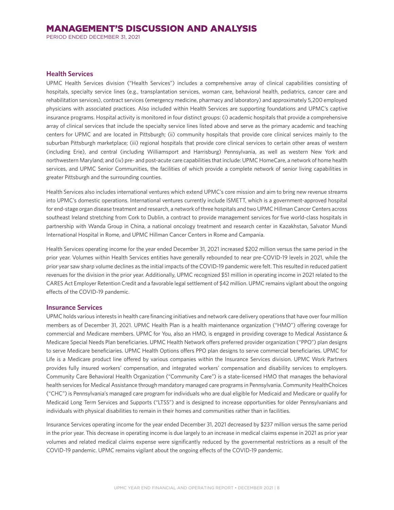PERIOD ENDED DECEMBER 31, 2021

## **Health Services**

UPMC Health Services division ("Health Services") includes a comprehensive array of clinical capabilities consisting of hospitals, specialty service lines (e.g., transplantation services, woman care, behavioral health, pediatrics, cancer care and rehabilitation services), contract services (emergency medicine, pharmacy and laboratory) and approximately 5,200 employed physicians with associated practices. Also included within Health Services are supporting foundations and UPMC's captive insurance programs. Hospital activity is monitored in four distinct groups: (i) academic hospitals that provide a comprehensive array of clinical services that include the specialty service lines listed above and serve as the primary academic and teaching centers for UPMC and are located in Pittsburgh; (ii) community hospitals that provide core clinical services mainly to the suburban Pittsburgh marketplace; (iii) regional hospitals that provide core clinical services to certain other areas of western (including Erie), and central (including Williamsport and Harrisburg) Pennsylvania, as well as western New York and northwestern Maryland; and (iv) pre- and post-acute care capabilities that include: UPMC HomeCare, a network of home health services, and UPMC Senior Communities, the facilities of which provide a complete network of senior living capabilities in greater Pittsburgh and the surrounding counties.

Health Services also includes international ventures which extend UPMC's core mission and aim to bring new revenue streams into UPMC's domestic operations. International ventures currently include ISMETT, which is a government-approved hospital for end-stage organ disease treatment and research, a network of three hospitals and two UPMC Hillman Cancer Centers across southeast Ireland stretching from Cork to Dublin, a contract to provide management services for five world-class hospitals in partnership with Wanda Group in China, a national oncology treatment and research center in Kazakhstan, Salvator Mundi International Hospital in Rome, and UPMC Hillman Cancer Centers in Rome and Campania.

Health Services operating income for the year ended December 31, 2021 increased \$202 million versus the same period in the prior year. Volumes within Health Services entities have generally rebounded to near pre-COVID-19 levels in 2021, while the prior year saw sharp volume declines as the initial impacts of the COVID-19 pandemic were felt. This resulted in reduced patient revenues for the division in the prior year. Additionally, UPMC recognized \$51 million in operating income in 2021 related to the CARES Act Employer Retention Credit and a favorable legal settlement of \$42 million. UPMC remains vigilant about the ongoing effects of the COVID-19 pandemic.

#### **Insurance Services**

UPMC holds various interests in health care financing initiatives and network care delivery operations that have over four million members as of December 31, 2021. UPMC Health Plan is a health maintenance organization ("HMO") offering coverage for commercial and Medicare members. UPMC for You, also an HMO, is engaged in providing coverage to Medical Assistance & Medicare Special Needs Plan beneficiaries. UPMC Health Network offers preferred provider organization ("PPO") plan designs to serve Medicare beneficiaries. UPMC Health Options offers PPO plan designs to serve commercial beneficiaries. UPMC for Life is a Medicare product line offered by various companies within the Insurance Services division. UPMC Work Partners provides fully insured workers' compensation, and integrated workers' compensation and disability services to employers. Community Care Behavioral Health Organization ("Community Care") is a state-licensed HMO that manages the behavioral health services for Medical Assistance through mandatory managed care programs in Pennsylvania. Community HealthChoices ("CHC") is Pennsylvania's managed care program for individuals who are dual eligible for Medicaid and Medicare or qualify for Medicaid Long Term Services and Supports ("LTSS") and is designed to increase opportunities for older Pennsylvanians and individuals with physical disabilities to remain in their homes and communities rather than in facilities.

Insurance Services operating income for the year ended December 31, 2021 decreased by \$237 million versus the same period in the prior year. This decrease in operating income is due largely to an increase in medical claims expense in 2021 as prior year volumes and related medical claims expense were significantly reduced by the governmental restrictions as a result of the COVID-19 pandemic. UPMC remains vigilant about the ongoing effects of the COVID-19 pandemic.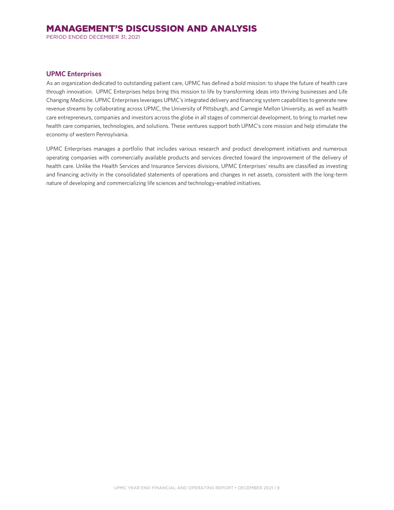PERIOD ENDED DECEMBER 31, 2021

## **UPMC Enterprises**

As an organization dedicated to outstanding patient care, UPMC has defined a bold mission: to shape the future of health care through innovation. UPMC Enterprises helps bring this mission to life by transforming ideas into thriving businesses and Life Changing Medicine. UPMC Enterprises leverages UPMC's integrated delivery and financing system capabilities to generate new revenue streams by collaborating across UPMC, the University of Pittsburgh, and Carnegie Mellon University, as well as health care entrepreneurs, companies and investors across the globe in all stages of commercial development, to bring to market new health care companies, technologies, and solutions. These ventures support both UPMC's core mission and help stimulate the economy of western Pennsylvania.

UPMC Enterprises manages a portfolio that includes various research and product development initiatives and numerous operating companies with commercially available products and services directed toward the improvement of the delivery of health care. Unlike the Health Services and Insurance Services divisions, UPMC Enterprises' results are classified as investing and financing activity in the consolidated statements of operations and changes in net assets, consistent with the long-term nature of developing and commercializing life sciences and technology-enabled initiatives.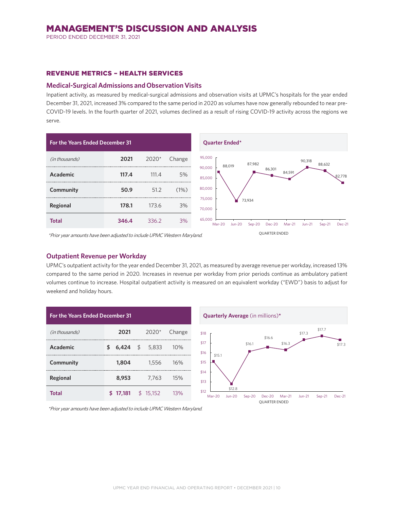PERIOD ENDED DECEMBER 31, 2021

#### REVENUE METRICS – HEALTH SERVICES

#### **Medical-Surgical Admissions and Observation Visits**

Inpatient activity, as measured by medical-surgical admissions and observation visits at UPMC's hospitals for the year ended December 31, 2021, increased 3% compared to the same period in 2020 as volumes have now generally rebounded to near pre-COVID-19 levels. In the fourth quarter of 2021, volumes declined as a result of rising COVID-19 activity across the regions we serve.



\*Prior year amounts have been adjusted to include UPMC Western Maryland.

## **Outpatient Revenue per Workday**

UPMC's outpatient activity for the year ended December 31, 2021, as measured by average revenue per workday, increased 13% compared to the same period in 2020. Increases in revenue per workday from prior periods continue as ambulatory patient volumes continue to increase. Hospital outpatient activity is measured on an equivalent workday ("EWD") basis to adjust for weekend and holiday hours.

| <b>For the Years Ended December 31</b> |    |                |  |          |        |
|----------------------------------------|----|----------------|--|----------|--------|
| (in thousands)                         |    | 2021           |  | $2020*$  | Change |
| Academic                               | \$ | 6,424 \$ 5,833 |  |          | 10%    |
| Community                              |    | 1,804          |  | 1,556    | 16%    |
| Regional                               |    | 8,953          |  | 7.763    | 15%    |
| Total                                  | \$ | 17,181         |  | \$15.152 | 13%    |



\*Prior year amounts have been adjusted to include UPMC Western Maryland.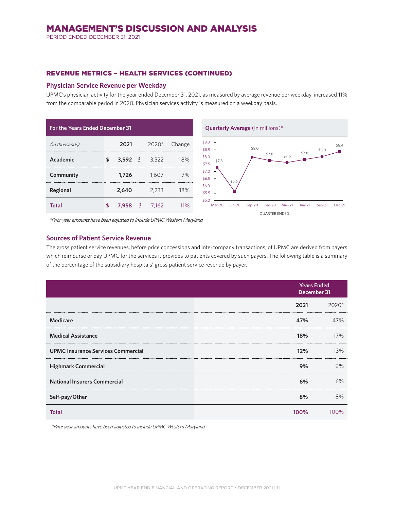PERIOD ENDED DECEMBER 31, 2021

## REVENUE METRICS – HEALTH SERVICES (CONTINUED)

## **Physician Service Revenue per Weekday**

UPMC's physician activity for the year ended December 31, 2021, as measured by average revenue per weekday, increased 11% from the comparable period in 2020. Physician services activity is measured on a weekday basis.

| <b>For the Years Ended December 31</b> |    |           |    |       |        |  |
|----------------------------------------|----|-----------|----|-------|--------|--|
| (in thousands)                         |    | 2021      |    | 2020* | Change |  |
| Academic                               | \$ | 3,592 $$$ |    | 3,322 | 8%     |  |
| Community                              |    | 1,726     |    | 1.607 | 7%     |  |
| Regional                               |    | 2,640     |    | 2.233 | 18%    |  |
| Total                                  | ፍ  | 7.958     | \$ | 7.162 | 11%    |  |



\*Prior year amounts have been adjusted to include UPMC Western Maryland.

## **Sources of Patient Service Revenue**

The gross patient service revenues, before price concessions and intercompany transactions, of UPMC are derived from payers which reimburse or pay UPMC for the services it provides to patients covered by such payers. The following table is a summary of the percentage of the subsidiary hospitals' gross patient service revenue by payer.

|                                           |      | <b>Years Ended</b><br>December 31 |  |  |
|-------------------------------------------|------|-----------------------------------|--|--|
|                                           | 2021 | $2020*$                           |  |  |
| <b>Medicare</b>                           | 47%  | 47%                               |  |  |
| <b>Medical Assistance</b>                 | 18%  | 17%                               |  |  |
| <b>UPMC Insurance Services Commercial</b> | 12%  | 13%                               |  |  |
| <b>Highmark Commercial</b>                | 9%   | 9%                                |  |  |
| <b>National Insurers Commercial</b>       | 6%   | 6%                                |  |  |
| Self-pay/Other                            | 8%   | 8%                                |  |  |
| Total                                     | 100% | ገ%                                |  |  |

\*Prior year amounts have been adjusted to include UPMC Western Maryland.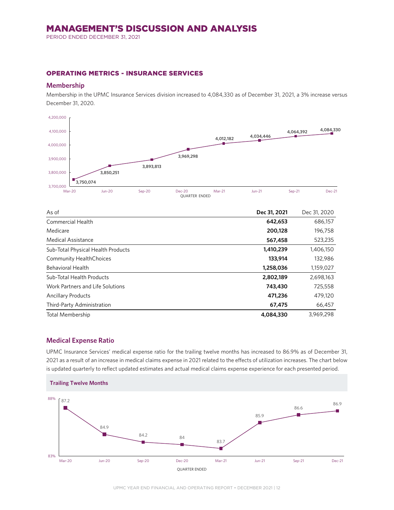PERIOD ENDED DECEMBER 31, 2021

## OPERATING METRICS - INSURANCE SERVICES

## **Membership**

Membership in the UPMC Insurance Services division increased to 4,084,330 as of December 31, 2021, a 3% increase versus December 31, 2020.



| As of                              | Dec 31, 2021 | Dec 31, 2020 |
|------------------------------------|--------------|--------------|
| Commercial Health                  | 642,653      | 686,157      |
| Medicare                           | 200,128      | 196,758      |
| <b>Medical Assistance</b>          | 567,458      | 523,235      |
| Sub-Total Physical Health Products | 1,410,239    | 1,406,150    |
| <b>Community HealthChoices</b>     | 133,914      | 132,986      |
| <b>Behavioral Health</b>           | 1,258,036    | 1,159,027    |
| Sub-Total Health Products          | 2,802,189    | 2,698,163    |
| Work Partners and Life Solutions   | 743,430      | 725,558      |
| <b>Ancillary Products</b>          | 471,236      | 479,120      |
| Third-Party Administration         | 67,475       | 66,457       |
| Total Membership                   | 4,084,330    | 3.969.298    |

## **Medical Expense Ratio**

UPMC Insurance Services' medical expense ratio for the trailing twelve months has increased to 86.9% as of December 31, 2021 as a result of an increase in medical claims expense in 2021 related to the effects of utilization increases. The chart below is updated quarterly to reflect updated estimates and actual medical claims expense experience for each presented period.

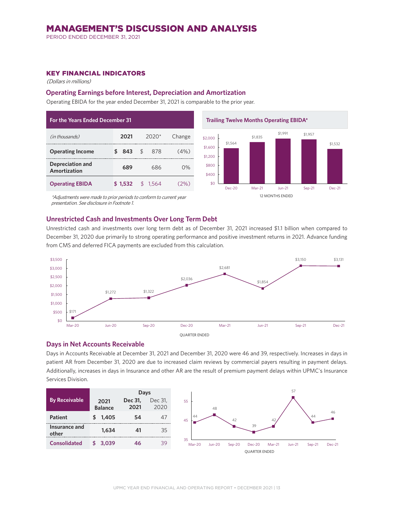PERIOD ENDED DECEMBER 31, 2021

## KEY FINANCIAL INDICATORS

(Dollars in millions)

#### **Operating Earnings before Interest, Depreciation and Amortization**

Operating EBIDA for the year ended December 31, 2021 is comparable to the prior year.

| <b>For the Years Ended December 31</b>  |         |                      |         |  |  |  |
|-----------------------------------------|---------|----------------------|---------|--|--|--|
| (in thousands)                          | 2021    | $2020*$              | Change  |  |  |  |
| <b>Operating Income</b>                 | 843     | $\mathcal{F}$<br>878 | $(4\%)$ |  |  |  |
| <b>Depreciation and</b><br>Amortization | 689     | 686                  | በ%      |  |  |  |
| <b>Operating EBIDA</b>                  | \$1,532 | ፍ<br>-1.564          |         |  |  |  |





\*Adjustments were made to prior periods to conform to current year presentation. See disclosure in Footnote 1.

## **Unrestricted Cash and Investments Over Long Term Debt**

Unrestricted cash and investments over long term debt as of December 31, 2021 increased \$1.1 billion when compared to December 31, 2020 due primarily to strong operating performance and positive investment returns in 2021. Advance funding from CMS and deferred FICA payments are excluded from this calculation.



#### **Days in Net Accounts Receivable**

Days in Accounts Receivable at December 31, 2021 and December 31, 2020 were 46 and 39, respectively. Increases in days in patient AR from December 31, 2020 are due to increased claim reviews by commercial payers resulting in payment delays. Additionally, increases in days in Insurance and other AR are the result of premium payment delays within UPMC's Insurance Services Division.

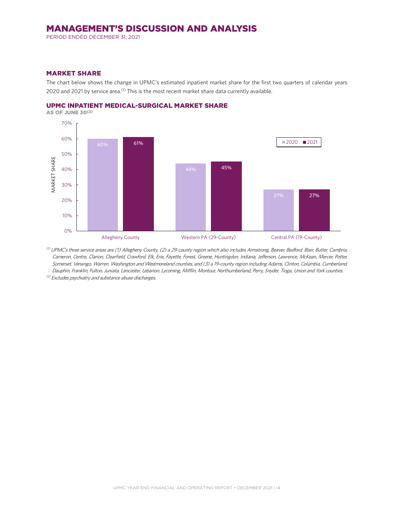PERIOD ENDED DECEMBER 31, 2021

#### MARKET SHARE

The chart below shows the change in UPMC's estimated inpatient market share for the first two quarters of calendar years 2020 and 2021 by service area.<sup>(1)</sup> This is the most recent market share data currently available.



AS OF JUNE 30(2)



 $^{(1)}$  UPMC's three service areas are (1) Allegheny County, (2) a 29-county region which also includes Armstrong, Beaver, Bedford, Blair, Butler, Cambria, Cameron, Centre, Clarion, Clearfield, Crawford, Elk, Erie, Fayette, Forest, Greene, Huntingdon, Indiana, Jefferson, Lawrence, McKean, Mercer, Potter, Somerset, Venango, Warren, Washington and Westmoreland counties, and (3) a 19-county region including Adams, Clinton, Columbia, Cumberland, Dauphin, Franklin, Fulton, Juniata, Lancaster, Lebanon, Lycoming, Mifflin, Montour, Northumberland, Perry, Snyder, Tioga, Union and York counties.

(2) Excludes psychiatry and substance abuse discharges.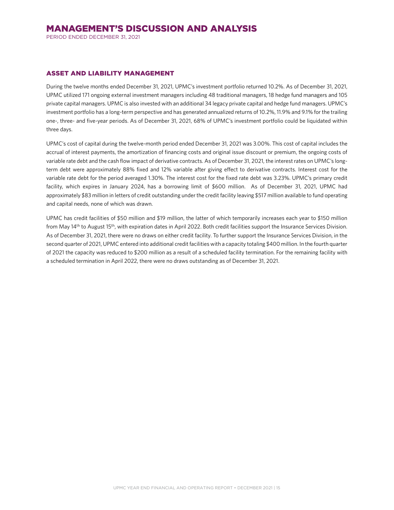PERIOD ENDED DECEMBER 31, 2021

## ASSET AND LIABILITY MANAGEMENT

During the twelve months ended December 31, 2021, UPMC's investment portfolio returned 10.2%. As of December 31, 2021, UPMC utilized 171 ongoing external investment managers including 48 traditional managers, 18 hedge fund managers and 105 private capital managers. UPMC is also invested with an additional 34 legacy private capital and hedge fund managers. UPMC's investment portfolio has a long-term perspective and has generated annualized returns of 10.2%, 11.9% and 9.1% for the trailing one-, three- and five-year periods. As of December 31, 2021, 68% of UPMC's investment portfolio could be liquidated within three days.

UPMC's cost of capital during the twelve-month period ended December 31, 2021 was 3.00%. This cost of capital includes the accrual of interest payments, the amortization of financing costs and original issue discount or premium, the ongoing costs of variable rate debt and the cash flow impact of derivative contracts. As of December 31, 2021, the interest rates on UPMC's longterm debt were approximately 88% fixed and 12% variable after giving effect to derivative contracts. Interest cost for the variable rate debt for the period averaged 1.30%. The interest cost for the fixed rate debt was 3.23%. UPMC's primary credit facility, which expires in January 2024, has a borrowing limit of \$600 million. As of December 31, 2021, UPMC had approximately \$83 million in letters of credit outstanding under the credit facility leaving \$517 million available to fund operating and capital needs, none of which was drawn.

UPMC has credit facilities of \$50 million and \$19 million, the latter of which temporarily increases each year to \$150 million from May 14<sup>th</sup> to August 15<sup>th</sup>, with expiration dates in April 2022. Both credit facilities support the Insurance Services Division. As of December 31, 2021, there were no draws on either credit facility. To further support the Insurance Services Division, in the second quarter of 2021, UPMC entered into additional credit facilities with a capacity totaling \$400 million. In the fourth quarter of 2021 the capacity was reduced to \$200 million as a result of a scheduled facility termination. For the remaining facility with a scheduled termination in April 2022, there were no draws outstanding as of December 31, 2021.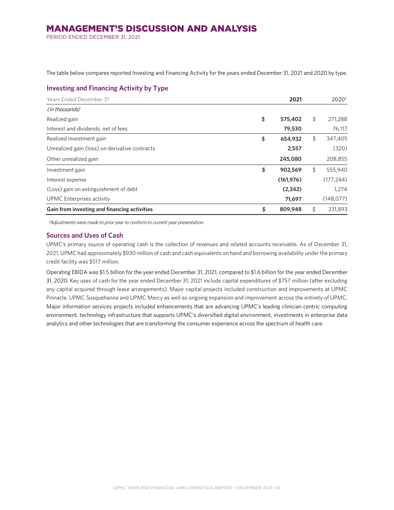PERIOD ENDED DECEMBER 31, 2021

The table below compares reported Investing and Financing Activity for the years ended December 31, 2021 and 2020 by type.

## **Investing and Financing Activity by Type**

| Years Ended December 31                        | 2021          | 2020*         |
|------------------------------------------------|---------------|---------------|
| (in thousands)                                 |               |               |
| Realized gain                                  | \$<br>575,402 | \$<br>271,288 |
| Interest and dividends, net of fees            | 79,530        | 76,117        |
| Realized investment gain                       | \$<br>654,932 | \$<br>347,405 |
| Unrealized gain (loss) on derivative contracts | 2,557         | (320)         |
| Other unrealized gain                          | 245,080       | 208,855       |
| Investment gain                                | \$<br>902,569 | \$<br>555,940 |
| Interest expense                               | (161, 976)    | (177, 244)    |
| (Loss) gain on extinguishment of debt          | (2,342)       | 1.274         |
| UPMC Enterprises activity                      | 71,697        | (148, 077)    |
| Gain from investing and financing activities   | \$<br>809,948 | \$<br>231,893 |

\*Adjustments were made to prior year to conform to current year presentation.

## **Sources and Uses of Cash**

UPMC's primary source of operating cash is the collection of revenues and related accounts receivable. As of December 31, 2021, UPMC had approximately \$930 million of cash and cash equivalents on hand and borrowing availability under the primary credit facility was \$517 million.

Operating EBIDA was \$1.5 billion for the year ended December 31, 2021, compared to \$1.6 billion for the year ended December 31, 2020. Key uses of cash for the year ended December 31, 2021 include capital expenditures of \$757 million (after excluding any capital acquired through lease arrangements). Major capital projects included construction and improvements at UPMC Pinnacle, UPMC Susquehanna and UPMC Mercy as well as ongoing expansion and improvement across the entirety of UPMC. Major information services projects included enhancements that are advancing UPMC's leading clinician centric computing environment, technology infrastructure that supports UPMC's diversified digital environment, investments in enterprise data analytics and other technologies that are transforming the consumer experience across the spectrum of health care.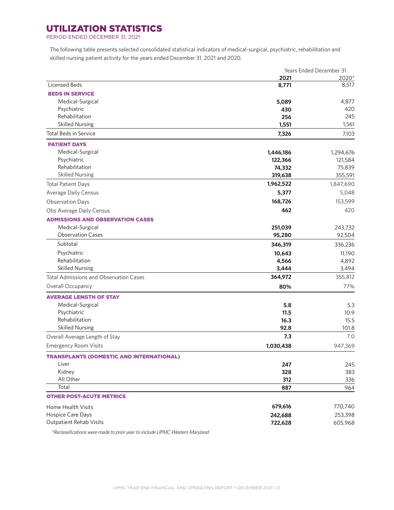## UTILIZATION STATISTICS

PERIOD ENDED DECEMBER 31, 2021

The following table presents selected consolidated statistical indicators of medical-surgical, psychiatric, rehabilitation and skilled nursing patient activity for the years ended December 31, 2021 and 2020.

|                                                 | Years Ended December 31 |           |  |
|-------------------------------------------------|-------------------------|-----------|--|
|                                                 | 2021                    | 2020*     |  |
| Licensed Beds                                   | 8,771                   | 8,517     |  |
| <b>BEDS IN SERVICE</b>                          |                         |           |  |
| Medical-Surgical                                | 5,089                   | 4,877     |  |
| Psychiatric                                     | 430                     | 420       |  |
| Rehabilitation                                  | 256                     | 245       |  |
| <b>Skilled Nursing</b>                          | 1,551                   | 1,561     |  |
| <b>Total Beds in Service</b>                    | 7,326                   | 7,103     |  |
| <b>PATIENT DAYS</b>                             |                         |           |  |
| Medical-Surgical                                | 1,446,186               | 1,294,676 |  |
| Psychiatric                                     | 122,366                 | 121,584   |  |
| Rehabilitation                                  | 74,332                  | 75,839    |  |
| <b>Skilled Nursing</b>                          | 319,638                 | 355,591   |  |
| <b>Total Patient Days</b>                       | 1,962,522               | 1,847,690 |  |
| Average Daily Census                            | 5,377                   | 5,048     |  |
| <b>Observation Days</b>                         | 168,726                 | 153,599   |  |
| Obs Average Daily Census                        | 462                     | 420       |  |
| <b>ADMISSIONS AND OBSERVATION CASES</b>         |                         |           |  |
| Medical-Surgical                                | 251,039                 | 243,732   |  |
| <b>Observation Cases</b>                        | 95,280                  | 92,504    |  |
| Subtotal                                        | 346,319                 | 336,236   |  |
| Psychiatric                                     | 10,643                  | 11,190    |  |
| Rehabilitation                                  | 4,566                   | 4,892     |  |
| <b>Skilled Nursing</b>                          | 3,444                   | 3,494     |  |
| <b>Total Admissions and Observation Cases</b>   | 364,972                 | 355,812   |  |
| Overall Occupancy                               | 80%                     | 77%       |  |
| <b>AVERAGE LENGTH OF STAY</b>                   |                         |           |  |
| Medical-Surgical                                | 5.8                     | 5.3       |  |
| Psychiatric                                     | 11.5                    | 10.9      |  |
| Rehabilitation                                  | 16.3                    | 15.5      |  |
| <b>Skilled Nursing</b>                          | 92.8                    | 101.8     |  |
| Overall Average Length of Stay                  | 7.3                     | 7.0       |  |
| <b>Emergency Room Visits</b>                    | 1,030,438               | 947,369   |  |
| <b>TRANSPLANTS (DOMESTIC AND INTERNATIONAL)</b> |                         |           |  |
| Liver                                           | 247                     | 245       |  |
| Kidney                                          | 328                     | 383       |  |
| All Other                                       | 312                     | 336       |  |
| Total                                           | 887                     | 964       |  |
| <b>OTHER POST-ACUTE METRICS</b>                 |                         |           |  |
|                                                 |                         |           |  |
| Home Health Visits                              | 679,616                 | 770,740   |  |
| Hospice Care Days                               | 242,688                 | 253,398   |  |
| Outpatient Rehab Visits                         | 722,628                 | 605,968   |  |

\*Reclassifications were made to prior year to include UPMC Western Maryland.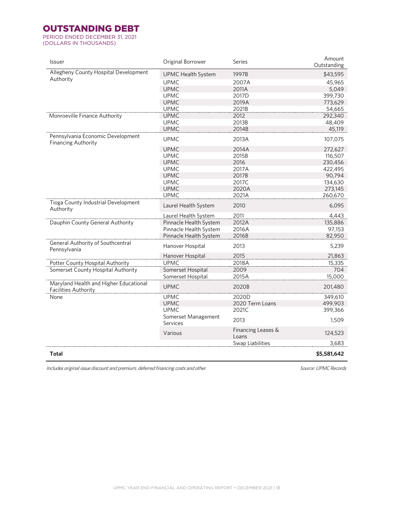## OUTSTANDING DEBT

PERIOD ENDED DECEMBER 31, 2021 (DOLLARS IN THOUSANDS)

| <b>Issuer</b>                                                         | Original Borrower               | <b>Series</b>               | Amount<br>Outstanding |
|-----------------------------------------------------------------------|---------------------------------|-----------------------------|-----------------------|
| Allegheny County Hospital Development                                 | <b>UPMC Health System</b>       | 1997B                       | \$43,595              |
| Authority                                                             | <b>UPMC</b>                     | 2007A                       | 45,965                |
|                                                                       | <b>UPMC</b>                     | 2011A                       | 5,049                 |
|                                                                       | <b>UPMC</b>                     | 2017D                       | 399,730               |
|                                                                       | <b>UPMC</b>                     | 2019A                       | 773,629               |
|                                                                       | <b>UPMC</b>                     | 2021B                       | 54,665                |
| Monroeville Finance Authority                                         | <b>UPMC</b>                     | 2012                        | 292,340               |
|                                                                       | <b>UPMC</b>                     | 2013B                       | 48,409                |
|                                                                       | <b>UPMC</b>                     | 2014B                       | 45,119                |
| Pennsylvania Economic Development<br><b>Financing Authority</b>       | <b>UPMC</b>                     | 2013A                       | 107,075               |
|                                                                       | <b>UPMC</b>                     | 2014A                       | 272,627               |
|                                                                       | <b>UPMC</b>                     | 2015B                       | 116,507               |
|                                                                       | <b>UPMC</b>                     | 2016                        | 230,456               |
|                                                                       | <b>UPMC</b>                     | 2017A                       | 422,495               |
|                                                                       | <b>UPMC</b>                     | 2017B                       | 90,794                |
|                                                                       | <b>UPMC</b>                     | 2017C                       | 134,630               |
|                                                                       | <b>UPMC</b>                     | 2020A                       | 273,145               |
|                                                                       | <b>UPMC</b>                     | 2021A                       | 260,670               |
| Tioga County Industrial Development<br>Authority                      | Laurel Health System            | 2010                        | 6,095                 |
|                                                                       | Laurel Health System            | 2011                        | 4,443                 |
| Dauphin County General Authority                                      | Pinnacle Health System          | 2012A                       | 135,886               |
|                                                                       | Pinnacle Health System          | 2016A                       | 97,153                |
|                                                                       | Pinnacle Health System          | 2016B                       | 82,950                |
| General Authority of Southcentral<br>Pennsylvania                     | Hanover Hospital                | 2013                        | 5,239                 |
|                                                                       | Hanover Hospital                | 2015                        | 21,863                |
| Potter County Hospital Authority                                      | <b>UPMC</b>                     | 2018A                       | 15,335                |
| Somerset County Hospital Authority                                    | Somerset Hospital               | 2009                        | 704                   |
|                                                                       | Somerset Hospital               | 2015A                       | 15,000                |
| Maryland Health and Higher Educational<br><b>Facilities Authority</b> | <b>UPMC</b>                     | 2020B                       | 201,480               |
| None                                                                  | <b>UPMC</b>                     | 2020D                       | 349,610               |
|                                                                       | <b>UPMC</b>                     | 2020 Term Loans             | 499,903               |
|                                                                       | <b>UPMC</b>                     | 2021C                       | 399,366               |
|                                                                       | Somerset Management<br>Services | 2013                        | 1,509                 |
|                                                                       | Various                         | Financing Leases &<br>Loans | 124,523               |
|                                                                       |                                 | Swap Liabilities            | 3,683                 |
| Total                                                                 |                                 |                             | \$5,581,642           |

Includes original issue discount and premium, deferred financing costs and other. Source: Source: UPMC Records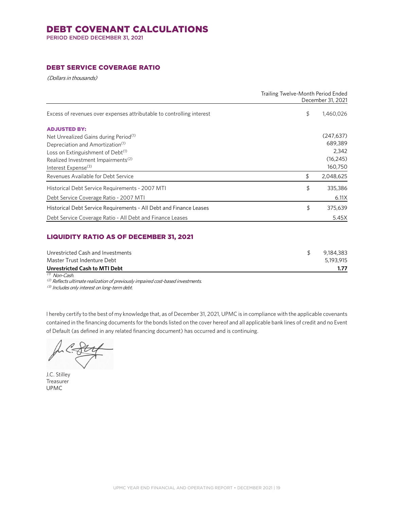## DEBT COVENANT CALCULATIONS

PERIOD ENDED DECEMBER 31, 2021

## DEBT SERVICE COVERAGE RATIO

(Dollars in thousands)

|                                                                       | Trailing Twelve-Month Period Ended | December 31, 2021 |
|-----------------------------------------------------------------------|------------------------------------|-------------------|
| Excess of revenues over expenses attributable to controlling interest | \$                                 | 1,460,026         |
| <b>ADJUSTED BY:</b>                                                   |                                    |                   |
| Net Unrealized Gains during Period <sup>(1)</sup>                     |                                    | (247, 637)        |
| Depreciation and Amortization <sup>(1)</sup>                          |                                    | 689.389           |
| Loss on Extinguishment of Debt <sup>(1)</sup>                         |                                    | 2,342             |
| Realized Investment Impairments <sup>(2)</sup>                        |                                    | (16, 245)         |
| Interest Expense <sup>(3)</sup>                                       |                                    | 160,750           |
| Revenues Available for Debt Service                                   | \$                                 | 2,048,625         |
| Historical Debt Service Requirements - 2007 MTI                       | \$                                 | 335,386           |
| Debt Service Coverage Ratio - 2007 MTI                                |                                    | 6.11X             |
| Historical Debt Service Requirements - All Debt and Finance Leases    | \$                                 | 375,639           |
| Debt Service Coverage Ratio - All Debt and Finance Leases             |                                    | 5.45X             |

## LIQUIDITY RATIO AS OF DECEMBER 31, 2021

| Unrestricted Cash and Investments | 9,184,383 |
|-----------------------------------|-----------|
| Master Trust Indenture Debt       | 5.193.915 |
| Unrestricted Cash to MTI Debt     |           |
| <sup>(1)</sup> Non-Cash.          |           |

(2) Reflects ultimate realization of previously impaired cost-based investments.

(3) Includes only interest on long-term debt.

I hereby certify to the best of my knowledge that, as of December 31, 2021, UPMC is in compliance with the applicable covenants contained in the financing documents for the bonds listed on the cover hereof and all applicable bank lines of credit and no Event of Default (as defined in any related financing document) has occurred and is continuing.

J.C. Stilley Treasurer UPMC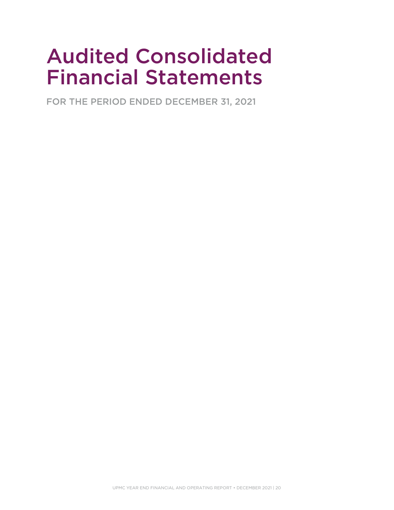# Audited Consolidated Financial Statements

FOR THE PERIOD ENDED DECEMBER 31, 2021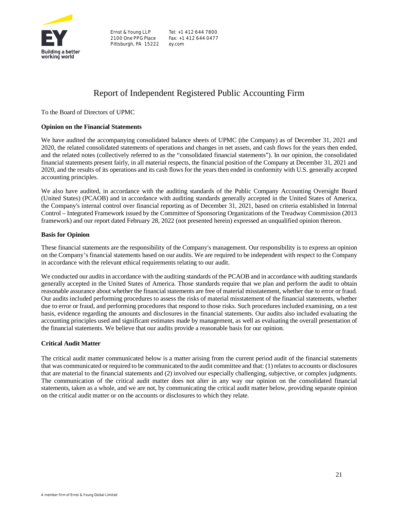

Ernst & Young LLP 2100 One PPG Place Pittsburgh, PA 15222

Tel: +1 412 644 7800 Fax: +1 412 644 0477 ey.com

## Report of Independent Registered Public Accounting Firm

To the Board of Directors of UPMC

## **Opinion on the Financial Statements**

We have audited the accompanying consolidated balance sheets of UPMC (the Company) as of December 31, 2021 and 2020, the related consolidated statements of operations and changes in net assets, and cash flows for the years then ended, and the related notes (collectively referred to as the "consolidated financial statements"). In our opinion, the consolidated financial statements present fairly, in all material respects, the financial position of the Company at December 31, 2021 and 2020, and the results of its operations and its cash flows for the years then ended in conformity with U.S. generally accepted accounting principles.

We also have audited, in accordance with the auditing standards of the Public Company Accounting Oversight Board (United States) (PCAOB) and in accordance with auditing standards generally accepted in the United States of America, the Company's internal control over financial reporting as of December 31, 2021, based on criteria established in Internal Control – Integrated Framework issued by the Committee of Sponsoring Organizations of the Treadway Commission (2013 framework) and our report dated February 28, 2022 (not presented herein) expressed an unqualified opinion thereon.

#### **Basis for Opinion**

These financial statements are the responsibility of the Company's management. Our responsibility is to express an opinion on the Company's financial statements based on our audits. We are required to be independent with respect to the Company in accordance with the relevant ethical requirements relating to our audit.

We conducted our audits in accordance with the auditing standards of the PCAOB and in accordance with auditing standards generally accepted in the United States of America. Those standards require that we plan and perform the audit to obtain reasonable assurance about whether the financial statements are free of material misstatement, whether due to error or fraud. Our audits included performing procedures to assess the risks of material misstatement of the financial statements, whether due to error or fraud, and performing procedures that respond to those risks. Such procedures included examining, on a test basis, evidence regarding the amounts and disclosures in the financial statements. Our audits also included evaluating the accounting principles used and significant estimates made by management, as well as evaluating the overall presentation of the financial statements. We believe that our audits provide a reasonable basis for our opinion.

## **Critical Audit Matter**

The critical audit matter communicated below is a matter arising from the current period audit of the financial statements that was communicated or required to be communicated to the audit committee and that: (1) relates to accounts or disclosures that are material to the financial statements and (2) involved our especially challenging, subjective, or complex judgments. The communication of the critical audit matter does not alter in any way our opinion on the consolidated financial statements, taken as a whole, and we are not, by communicating the critical audit matter below, providing separate opinion on the critical audit matter or on the accounts or disclosures to which they relate.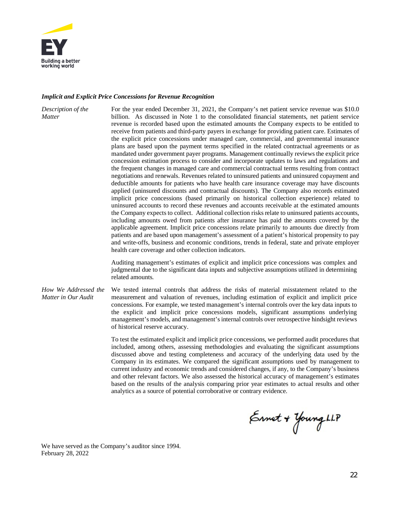

## *Implicit and Explicit Price Concessions for Revenue Recognition*

| Description of the<br><b>Matter</b>         | For the year ended December 31, 2021, the Company's net patient service revenue was \$10.0<br>billion. As discussed in Note 1 to the consolidated financial statements, net patient service<br>revenue is recorded based upon the estimated amounts the Company expects to be entitled to<br>receive from patients and third-party payers in exchange for providing patient care. Estimates of<br>the explicit price concessions under managed care, commercial, and governmental insurance<br>plans are based upon the payment terms specified in the related contractual agreements or as<br>mandated under government payer programs. Management continually reviews the explicit price<br>concession estimation process to consider and incorporate updates to laws and regulations and<br>the frequent changes in managed care and commercial contractual terms resulting from contract<br>negotiations and renewals. Revenues related to uninsured patients and uninsured copayment and<br>deductible amounts for patients who have health care insurance coverage may have discounts<br>applied (uninsured discounts and contractual discounts). The Company also records estimated<br>implicit price concessions (based primarily on historical collection experience) related to<br>uninsured accounts to record these revenues and accounts receivable at the estimated amounts<br>the Company expects to collect. Additional collection risks relate to uninsured patients accounts,<br>including amounts owed from patients after insurance has paid the amounts covered by the<br>applicable agreement. Implicit price concessions relate primarily to amounts due directly from<br>patients and are based upon management's assessment of a patient's historical propensity to pay<br>and write-offs, business and economic conditions, trends in federal, state and private employer<br>health care coverage and other collection indicators. |
|---------------------------------------------|--------------------------------------------------------------------------------------------------------------------------------------------------------------------------------------------------------------------------------------------------------------------------------------------------------------------------------------------------------------------------------------------------------------------------------------------------------------------------------------------------------------------------------------------------------------------------------------------------------------------------------------------------------------------------------------------------------------------------------------------------------------------------------------------------------------------------------------------------------------------------------------------------------------------------------------------------------------------------------------------------------------------------------------------------------------------------------------------------------------------------------------------------------------------------------------------------------------------------------------------------------------------------------------------------------------------------------------------------------------------------------------------------------------------------------------------------------------------------------------------------------------------------------------------------------------------------------------------------------------------------------------------------------------------------------------------------------------------------------------------------------------------------------------------------------------------------------------------------------------------------------------------------------------------------------------------------------------|
|                                             | Auditing management's estimates of explicit and implicit price concessions was complex and<br>judgmental due to the significant data inputs and subjective assumptions utilized in determining<br>related amounts.                                                                                                                                                                                                                                                                                                                                                                                                                                                                                                                                                                                                                                                                                                                                                                                                                                                                                                                                                                                                                                                                                                                                                                                                                                                                                                                                                                                                                                                                                                                                                                                                                                                                                                                                           |
| How We Addressed the<br>Matter in Our Audit | We tested internal controls that address the risks of material misstatement related to the<br>measurement and valuation of revenues, including estimation of explicit and implicit price<br>concessions. For example, we tested management's internal controls over the key data inputs to<br>the explicit and implicit price concessions models, significant assumptions underlying<br>management's models, and management's internal controls over retrospective hindsight reviews<br>of historical reserve accuracy.                                                                                                                                                                                                                                                                                                                                                                                                                                                                                                                                                                                                                                                                                                                                                                                                                                                                                                                                                                                                                                                                                                                                                                                                                                                                                                                                                                                                                                      |
|                                             | To test the estimated explicit and implicit price concessions, we performed audit procedures that<br>included, among others, assessing methodologies and evaluating the significant assumptions                                                                                                                                                                                                                                                                                                                                                                                                                                                                                                                                                                                                                                                                                                                                                                                                                                                                                                                                                                                                                                                                                                                                                                                                                                                                                                                                                                                                                                                                                                                                                                                                                                                                                                                                                              |

discussed above and testing completeness and accuracy of the underlying data used by the Company in its estimates. We compared the significant assumptions used by management to current industry and economic trends and considered changes, if any, to the Company's business and other relevant factors. We also assessed the historical accuracy of management's estimates based on the results of the analysis comparing prior year estimates to actual results and other analytics as a source of potential corroborative or contrary evidence.

Ernet + Young LLP

We have served as the Company's auditor since 1994. February 28, 2022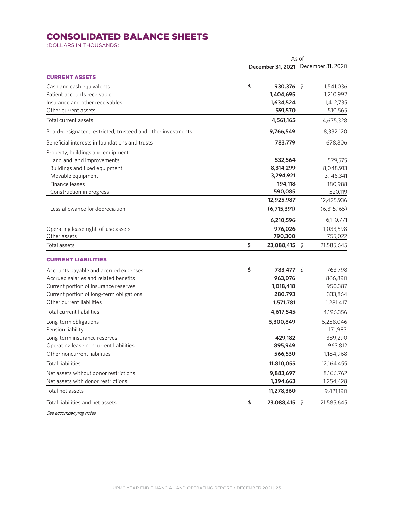## CONSOLIDATED BALANCE SHEETS

(DOLLARS IN THOUSANDS)

|                                                              | As of |               |  |                                     |
|--------------------------------------------------------------|-------|---------------|--|-------------------------------------|
|                                                              |       |               |  | December 31, 2021 December 31, 2020 |
| <b>CURRENT ASSETS</b>                                        |       |               |  |                                     |
| Cash and cash equivalents                                    | \$    | 930,376 \$    |  | 1,541,036                           |
| Patient accounts receivable                                  |       | 1,404,695     |  | 1,210,992                           |
| Insurance and other receivables                              |       | 1,634,524     |  | 1,412,735                           |
| Other current assets                                         |       | 591,570       |  | 510,565                             |
| Total current assets                                         |       | 4,561,165     |  | 4,675,328                           |
| Board-designated, restricted, trusteed and other investments |       | 9,766,549     |  | 8,332,120                           |
| Beneficial interests in foundations and trusts               |       | 783,779       |  | 678,806                             |
| Property, buildings and equipment:                           |       |               |  |                                     |
| Land and land improvements                                   |       | 532,564       |  | 529,575                             |
| Buildings and fixed equipment                                |       | 8,314,299     |  | 8,048,913                           |
| Movable equipment                                            |       | 3,294,921     |  | 3,146,341                           |
| Finance leases                                               |       | 194,118       |  | 180,988                             |
| Construction in progress                                     |       | 590,085       |  | 520,119                             |
|                                                              |       | 12,925,987    |  | 12,425,936                          |
| Less allowance for depreciation                              |       | (6,715,391)   |  | (6,315,165)                         |
|                                                              |       | 6,210,596     |  | 6,110,771                           |
| Operating lease right-of-use assets                          |       | 976,026       |  | 1,033,598                           |
| Other assets                                                 |       | 790,300       |  | 755,022                             |
| Total assets                                                 | \$    | 23,088,415 \$ |  | 21,585,645                          |
| <b>CURRENT LIABILITIES</b>                                   |       |               |  |                                     |
| Accounts payable and accrued expenses                        | \$    | 783,477 \$    |  | 763,798                             |
| Accrued salaries and related benefits                        |       | 963,076       |  | 866,890                             |
| Current portion of insurance reserves                        |       | 1,018,418     |  | 950,387                             |
| Current portion of long-term obligations                     |       | 280,793       |  | 333,864                             |
| Other current liabilities                                    |       | 1,571,781     |  | 1,281,417                           |
| Total current liabilities                                    |       | 4,617,545     |  | 4,196,356                           |
| Long-term obligations                                        |       | 5,300,849     |  | 5,258,046                           |
| Pension liability                                            |       |               |  | 171,983                             |
| Long-term insurance reserves                                 |       | 429,182       |  | 389,290                             |
| Operating lease noncurrent liabilities                       |       | 895,949       |  | 963,812                             |
| Other noncurrent liabilities                                 |       | 566,530       |  | 1,184,968                           |
| <b>Total liabilities</b>                                     |       | 11,810,055    |  | 12,164,455                          |
| Net assets without donor restrictions                        |       | 9,883,697     |  | 8,166,762                           |
| Net assets with donor restrictions                           |       | 1,394,663     |  | 1,254,428                           |
| Total net assets                                             |       | 11,278,360    |  | 9,421,190                           |
| Total liabilities and net assets                             | \$    | 23,088,415 \$ |  | 21,585,645                          |

See accompanying notes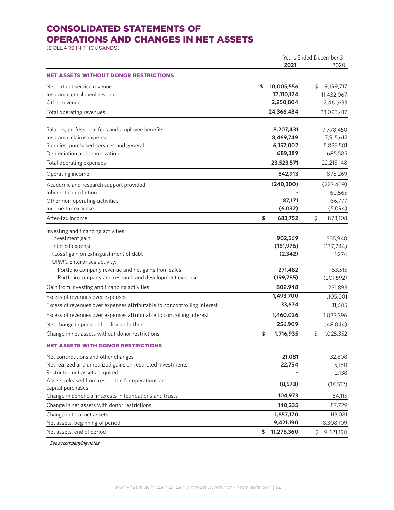## CONSOLIDATED STATEMENTS OF OPERATIONS AND CHANGES IN NET ASSETS

(DOLLARS IN THOUSANDS)

|                                                                                  |                  | <b>Years Ended December 31</b> |
|----------------------------------------------------------------------------------|------------------|--------------------------------|
|                                                                                  | 2021             | 2020                           |
| NET ASSETS WITHOUT DONOR RESTRICTIONS                                            |                  |                                |
| Net patient service revenue                                                      | \$<br>10,005,556 | 9,199,717<br>\$                |
| Insurance enrollment revenue                                                     | 12,110,124       | 11,432,067                     |
| Other revenue                                                                    | 2,250,804        | 2,461,633                      |
| Total operating revenues                                                         | 24,366,484       | 23,093,417                     |
| Salaries, professional fees and employee benefits                                | 8,207,431        | 7,778,450                      |
| Insurance claims expense                                                         | 8,469,749        | 7,915,612                      |
| Supplies, purchased services and general                                         | 6,157,002        | 5,835,501                      |
| Depreciation and amortization                                                    | 689,389          | 685,585                        |
| Total operating expenses                                                         | 23,523,571       | 22,215,148                     |
| Operating income                                                                 | 842,913          | 878,269                        |
| Academic and research support provided                                           | (240, 300)       | (227, 409)                     |
| Inherent contribution                                                            |                  | 160,565                        |
| Other non-operating activities                                                   | 87,171           | 66,777                         |
| Income tax expense                                                               | (6,032)          | (5,094)                        |
| After-tax income                                                                 | \$<br>683,752    | \$<br>873,108                  |
| Investing and financing activities:                                              |                  |                                |
| Investment gain                                                                  | 902,569          | 555,940                        |
| Interest expense                                                                 | (161, 976)       | (177, 244)                     |
| (Loss) gain on extinguishment of debt                                            | (2, 342)         | 1,274                          |
| UPMC Enterprises activity:<br>Portfolio company revenue and net gains from sales | 271,482          |                                |
| Portfolio company and research and development expense                           | (199, 785)       | 53,515<br>(201, 592)           |
| Gain from investing and financing activities                                     | 809,948          | 231,893                        |
|                                                                                  | 1,493,700        | 1,105,001                      |
| Excess of revenues over expenses                                                 | 33,674           |                                |
| Excess of revenues over expenses attributable to noncontrolling interest         |                  | 31,605                         |
| Excess of revenues over expenses attributable to controlling interest            | 1,460,026        | 1,073,396                      |
| Net change in pension liability and other                                        | 256,909          | (48, 044)                      |
| Change in net assets without donor restrictions                                  | \$<br>1,716,935  | \$<br>1,025,352                |
| NET ASSETS WITH DONOR RESTRICTIONS                                               |                  |                                |
| Net contributions and other changes                                              | 21,081           | 32,808                         |
| Net realized and unrealized gains on restricted investments                      | 22,754           | 5,180                          |
| Restricted net assets acquired                                                   |                  | 12,138                         |
| Assets released from restriction for operations and<br>capital purchases         | (8, 573)         | (16, 512)                      |
| Change in beneficial interests in foundations and trusts                         | 104,973          | 54,115                         |
| Change in net assets with donor restrictions                                     | 140,235          | 87,729                         |
| Change in total net assets                                                       | 1,857,170        | 1,113,081                      |
| Net assets, beginning of period                                                  | 9,421,190        | 8,308,109                      |
| Net assets, end of period                                                        | \$<br>11,278,360 | $\oint$<br>9,421,190           |

See accompanying notes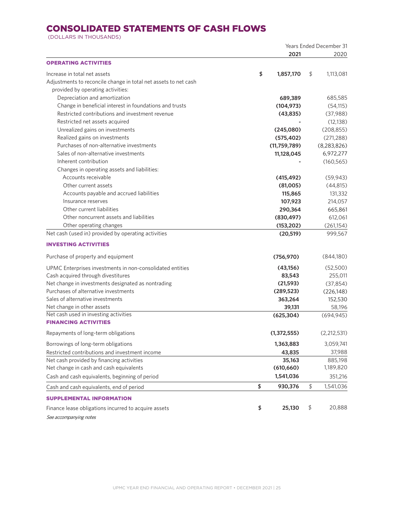## CONSOLIDATED STATEMENTS OF CASH FLOWS

(DOLLARS IN THOUSANDS)

|                                                                 | <b>Years Ended December 31</b> |               |    |               |
|-----------------------------------------------------------------|--------------------------------|---------------|----|---------------|
|                                                                 |                                | 2021          |    | 2020          |
| <b>OPERATING ACTIVITIES</b>                                     |                                |               |    |               |
| Increase in total net assets                                    | \$                             | 1,857,170     | \$ | 1,113,081     |
| Adjustments to reconcile change in total net assets to net cash |                                |               |    |               |
| provided by operating activities:                               |                                |               |    |               |
| Depreciation and amortization                                   |                                | 689,389       |    | 685,585       |
| Change in beneficial interest in foundations and trusts         |                                | (104, 973)    |    | (54, 115)     |
| Restricted contributions and investment revenue                 |                                | (43, 835)     |    | (37,988)      |
| Restricted net assets acquired                                  |                                |               |    | (12, 138)     |
| Unrealized gains on investments                                 |                                | (245,080)     |    | (208, 855)    |
| Realized gains on investments                                   |                                | (575, 402)    |    | (271, 288)    |
| Purchases of non-alternative investments                        |                                | (11,759,789)  |    | (8, 283, 826) |
| Sales of non-alternative investments                            |                                | 11,128,045    |    | 6,972,277     |
| Inherent contribution                                           |                                |               |    | (160, 565)    |
| Changes in operating assets and liabilities:                    |                                |               |    |               |
| Accounts receivable                                             |                                | (415, 492)    |    | (59, 943)     |
| Other current assets                                            |                                | (81,005)      |    | (44, 815)     |
| Accounts payable and accrued liabilities                        |                                | 115,865       |    | 131,332       |
| Insurance reserves                                              |                                | 107,923       |    | 214,057       |
| Other current liabilities                                       |                                | 290,364       |    | 665,861       |
| Other noncurrent assets and liabilities                         |                                | (830, 497)    |    | 612,061       |
| Other operating changes                                         |                                | (153, 202)    |    | (261, 154)    |
| Net cash (used in) provided by operating activities             |                                | (20, 519)     |    | 999,567       |
| <b>INVESTING ACTIVITIES</b>                                     |                                |               |    |               |
| Purchase of property and equipment                              |                                | (756, 970)    |    | (844,180)     |
| UPMC Enterprises investments in non-consolidated entities       |                                | (43, 156)     |    | (52,500)      |
| Cash acquired through divestitures                              |                                | 83,543        |    | 255,011       |
| Net change in investments designated as nontrading              |                                | (21, 593)     |    | (37, 854)     |
| Purchases of alternative investments                            |                                | (289, 523)    |    | (226, 148)    |
| Sales of alternative investments                                |                                | 363,264       |    | 152,530       |
| Net change in other assets                                      |                                | 39,131        |    | 58,196        |
| Net cash used in investing activities                           |                                | (625, 304)    |    | (694, 945)    |
| <b>FINANCING ACTIVITIES</b>                                     |                                |               |    |               |
| Repayments of long-term obligations                             |                                | (1, 372, 555) |    | (2,212,531)   |
| Borrowings of long-term obligations                             |                                | 1,363,883     |    | 3,059,741     |
| Restricted contributions and investment income                  |                                | 43,835        |    | 37,988        |
| Net cash provided by financing activities                       |                                | 35,163        |    | 885,198       |
| Net change in cash and cash equivalents                         |                                | (610, 660)    |    | 1,189,820     |
| Cash and cash equivalents, beginning of period                  |                                | 1,541,036     |    | 351,216       |
| Cash and cash equivalents, end of period                        | \$                             | 930,376       | \$ | 1,541,036     |
| <b>SUPPLEMENTAL INFORMATION</b>                                 |                                |               |    |               |
| Finance lease obligations incurred to acquire assets            | \$                             | 25,130        | \$ | 20,888        |
| See accompanying notes                                          |                                |               |    |               |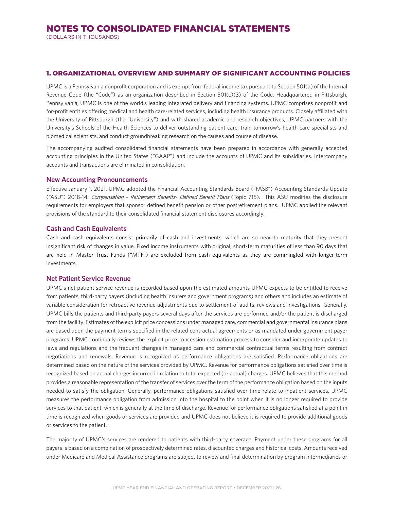(DOLLARS IN THOUSANDS)

#### 1. ORGANIZATIONAL OVERVIEW AND SUMMARY OF SIGNIFICANT ACCOUNTING POLICIES

UPMC is a Pennsylvania nonprofit corporation and is exempt from federal income tax pursuant to Section 501(a) of the Internal Revenue Code (the "Code") as an organization described in Section 501(c)(3) of the Code. Headquartered in Pittsburgh, Pennsylvania, UPMC is one of the world's leading integrated delivery and financing systems. UPMC comprises nonprofit and for-profit entities offering medical and health care-related services, including health insurance products. Closely affiliated with the University of Pittsburgh (the "University") and with shared academic and research objectives, UPMC partners with the University's Schools of the Health Sciences to deliver outstanding patient care, train tomorrow's health care specialists and biomedical scientists, and conduct groundbreaking research on the causes and course of disease.

The accompanying audited consolidated financial statements have been prepared in accordance with generally accepted accounting principles in the United States ("GAAP") and include the accounts of UPMC and its subsidiaries. Intercompany accounts and transactions are eliminated in consolidation.

#### **New Accounting Pronouncements**

Effective January 1, 2021, UPMC adopted the Financial Accounting Standards Board ("FASB") Accounting Standards Update ("ASU") 2018-14, Compensation – Retirement Benefits- Defined Benefit Plans (Topic 715). This ASU modifies the disclosure requirements for employers that sponsor defined benefit pension or other postretirement plans. UPMC applied the relevant provisions of the standard to their consolidated financial statement disclosures accordingly.

## **Cash and Cash Equivalents**

Cash and cash equivalents consist primarily of cash and investments, which are so near to maturity that they present insignificant risk of changes in value. Fixed income instruments with original, short-term maturities of less than 90 days that are held in Master Trust Funds ("MTF") are excluded from cash equivalents as they are commingled with longer-term investments.

#### **Net Patient Service Revenue**

UPMC's net patient service revenue is recorded based upon the estimated amounts UPMC expects to be entitled to receive from patients, third-party payers (including health insurers and government programs) and others and includes an estimate of variable consideration for retroactive revenue adjustments due to settlement of audits, reviews and investigations. Generally, UPMC bills the patients and third-party payers several days after the services are performed and/or the patient is discharged from the facility. Estimates of the explicit price concessions under managed care, commercial and governmental insurance plans are based upon the payment terms specified in the related contractual agreements or as mandated under government payer programs. UPMC continually reviews the explicit price concession estimation process to consider and incorporate updates to laws and regulations and the frequent changes in managed care and commercial contractual terms resulting from contract negotiations and renewals. Revenue is recognized as performance obligations are satisfied. Performance obligations are determined based on the nature of the services provided by UPMC. Revenue for performance obligations satisfied over time is recognized based on actual charges incurred in relation to total expected (or actual) charges. UPMC believes that this method provides a reasonable representation of the transfer of services over the term of the performance obligation based on the inputs needed to satisfy the obligation. Generally, performance obligations satisfied over time relate to inpatient services. UPMC measures the performance obligation from admission into the hospital to the point when it is no longer required to provide services to that patient, which is generally at the time of discharge. Revenue for performance obligations satisfied at a point in time is recognized when goods or services are provided and UPMC does not believe it is required to provide additional goods or services to the patient.

The majority of UPMC's services are rendered to patients with third-party coverage. Payment under these programs for all payers is based on a combination of prospectively determined rates, discounted charges and historical costs. Amounts received under Medicare and Medical Assistance programs are subject to review and final determination by program intermediaries or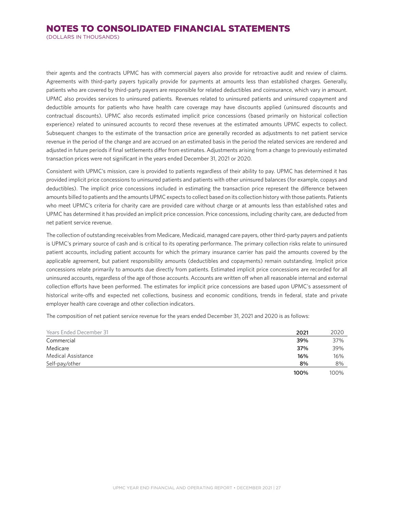(DOLLARS IN THOUSANDS)

their agents and the contracts UPMC has with commercial payers also provide for retroactive audit and review of claims. Agreements with third-party payers typically provide for payments at amounts less than established charges. Generally, patients who are covered by third-party payers are responsible for related deductibles and coinsurance, which vary in amount. UPMC also provides services to uninsured patients. Revenues related to uninsured patients and uninsured copayment and deductible amounts for patients who have health care coverage may have discounts applied (uninsured discounts and contractual discounts). UPMC also records estimated implicit price concessions (based primarily on historical collection experience) related to uninsured accounts to record these revenues at the estimated amounts UPMC expects to collect. Subsequent changes to the estimate of the transaction price are generally recorded as adjustments to net patient service revenue in the period of the change and are accrued on an estimated basis in the period the related services are rendered and adjusted in future periods if final settlements differ from estimates. Adjustments arising from a change to previously estimated transaction prices were not significant in the years ended December 31, 2021 or 2020.

Consistent with UPMC's mission, care is provided to patients regardless of their ability to pay. UPMC has determined it has provided implicit price concessions to uninsured patients and patients with other uninsured balances (for example, copays and deductibles). The implicit price concessions included in estimating the transaction price represent the difference between amounts billed to patients and the amounts UPMC expects to collect based on its collection history with those patients. Patients who meet UPMC's criteria for charity care are provided care without charge or at amounts less than established rates and UPMC has determined it has provided an implicit price concession. Price concessions, including charity care, are deducted from net patient service revenue.

The collection of outstanding receivables from Medicare, Medicaid, managed care payers, other third-party payers and patients is UPMC's primary source of cash and is critical to its operating performance. The primary collection risks relate to uninsured patient accounts, including patient accounts for which the primary insurance carrier has paid the amounts covered by the applicable agreement, but patient responsibility amounts (deductibles and copayments) remain outstanding. Implicit price concessions relate primarily to amounts due directly from patients. Estimated implicit price concessions are recorded for all uninsured accounts, regardless of the age of those accounts. Accounts are written off when all reasonable internal and external collection efforts have been performed. The estimates for implicit price concessions are based upon UPMC's assessment of historical write-offs and expected net collections, business and economic conditions, trends in federal, state and private employer health care coverage and other collection indicators.

The composition of net patient service revenue for the years ended December 31, 2021 and 2020 is as follows:

| Years Ended December 31 | 2021 | 2020 |
|-------------------------|------|------|
| Commercial              | 39%  | 37%  |
| Medicare                | 37%  | 39%  |
| Medical Assistance      | 16%  | 16%  |
| Self-pay/other          | 8%   | 8%   |
|                         | 100% | 100% |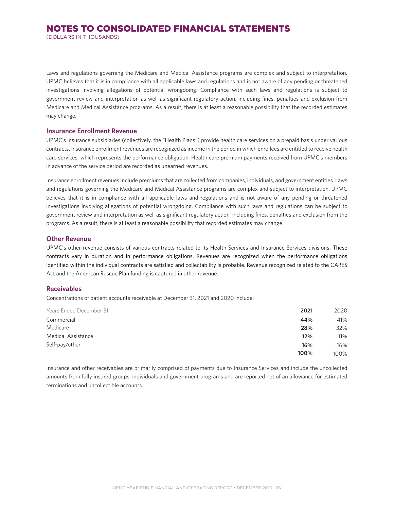(DOLLARS IN THOUSANDS)

Laws and regulations governing the Medicare and Medical Assistance programs are complex and subject to interpretation. UPMC believes that it is in compliance with all applicable laws and regulations and is not aware of any pending or threatened investigations involving allegations of potential wrongdoing. Compliance with such laws and regulations is subject to government review and interpretation as well as significant regulatory action, including fines, penalties and exclusion from Medicare and Medical Assistance programs. As a result, there is at least a reasonable possibility that the recorded estimates may change.

### **Insurance Enrollment Revenue**

UPMC's insurance subsidiaries (collectively, the "Health Plans") provide health care services on a prepaid basis under various contracts. Insurance enrollment revenues are recognized as income in the period in which enrollees are entitled to receive health care services, which represents the performance obligation. Health care premium payments received from UPMC's members in advance of the service period are recorded as unearned revenues.

Insurance enrollment revenues include premiums that are collected from companies, individuals, and government entities. Laws and regulations governing the Medicare and Medical Assistance programs are complex and subject to interpretation. UPMC believes that it is in compliance with all applicable laws and regulations and is not aware of any pending or threatened investigations involving allegations of potential wrongdoing. Compliance with such laws and regulations can be subject to government review and interpretation as well as significant regulatory action, including fines, penalties and exclusion from the programs. As a result, there is at least a reasonable possibility that recorded estimates may change.

#### **Other Revenue**

UPMC's other revenue consists of various contracts related to its Health Services and Insurance Services divisions. These contracts vary in duration and in performance obligations. Revenues are recognized when the performance obligations identified within the individual contracts are satisfied and collectability is probable. Revenue recognized related to the CARES Act and the American Rescue Plan funding is captured in other revenue.

#### **Receivables**

Concentrations of patient accounts receivable at December 31, 2021 and 2020 include:

| <b>Years Ended December 31</b> | 2021 | 2020    |
|--------------------------------|------|---------|
| Commercial                     | 44%  | 41%     |
| Medicare                       | 28%  | 32%     |
| Medical Assistance             | 12%  | 11%     |
| Self-pay/other                 | 16%  | 16%     |
|                                | 100% | $100\%$ |

Insurance and other receivables are primarily comprised of payments due to Insurance Services and include the uncollected amounts from fully insured groups, individuals and government programs and are reported net of an allowance for estimated terminations and uncollectible accounts.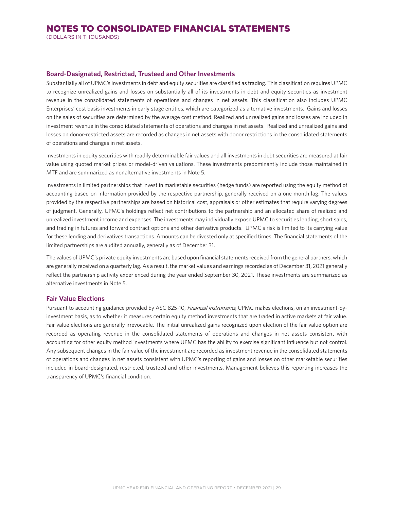(DOLLARS IN THOUSANDS)

## **Board-Designated, Restricted, Trusteed and Other Investments**

Substantially all of UPMC's investments in debt and equity securities are classified as trading. This classification requires UPMC to recognize unrealized gains and losses on substantially all of its investments in debt and equity securities as investment revenue in the consolidated statements of operations and changes in net assets. This classification also includes UPMC Enterprises' cost basis investments in early stage entities, which are categorized as alternative investments. Gains and losses on the sales of securities are determined by the average cost method. Realized and unrealized gains and losses are included in investment revenue in the consolidated statements of operations and changes in net assets. Realized and unrealized gains and losses on donor-restricted assets are recorded as changes in net assets with donor restrictions in the consolidated statements of operations and changes in net assets.

Investments in equity securities with readily determinable fair values and all investments in debt securities are measured at fair value using quoted market prices or model-driven valuations. These investments predominantly include those maintained in MTF and are summarized as nonalternative investments in Note 5.

Investments in limited partnerships that invest in marketable securities (hedge funds) are reported using the equity method of accounting based on information provided by the respective partnership, generally received on a one month lag. The values provided by the respective partnerships are based on historical cost, appraisals or other estimates that require varying degrees of judgment. Generally, UPMC's holdings reflect net contributions to the partnership and an allocated share of realized and unrealized investment income and expenses. The investments may individually expose UPMC to securities lending, short sales, and trading in futures and forward contract options and other derivative products. UPMC's risk is limited to its carrying value for these lending and derivatives transactions. Amounts can be divested only at specified times. The financial statements of the limited partnerships are audited annually, generally as of December 31.

The values of UPMC's private equity investments are based upon financial statements received from the general partners, which are generally received on a quarterly lag. As a result, the market values and earnings recorded as of December 31, 2021 generally reflect the partnership activity experienced during the year ended September 30, 2021. These investments are summarized as alternative investments in Note 5.

## **Fair Value Elections**

Pursuant to accounting guidance provided by ASC 825-10, Financial Instruments, UPMC makes elections, on an investment-byinvestment basis, as to whether it measures certain equity method investments that are traded in active markets at fair value. Fair value elections are generally irrevocable. The initial unrealized gains recognized upon election of the fair value option are recorded as operating revenue in the consolidated statements of operations and changes in net assets consistent with accounting for other equity method investments where UPMC has the ability to exercise significant influence but not control. Any subsequent changes in the fair value of the investment are recorded as investment revenue in the consolidated statements of operations and changes in net assets consistent with UPMC's reporting of gains and losses on other marketable securities included in board-designated, restricted, trusteed and other investments. Management believes this reporting increases the transparency of UPMC's financial condition.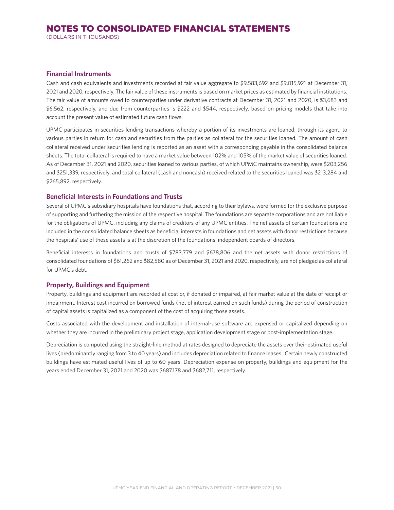(DOLLARS IN THOUSANDS)

## **Financial Instruments**

Cash and cash equivalents and investments recorded at fair value aggregate to \$9,583,692 and \$9,015,921 at December 31, 2021 and 2020, respectively. The fair value of these instruments is based on market prices as estimated by financial institutions. The fair value of amounts owed to counterparties under derivative contracts at December 31, 2021 and 2020, is \$3,683 and \$6,562, respectively, and due from counterparties is \$222 and \$544, respectively, based on pricing models that take into account the present value of estimated future cash flows.

UPMC participates in securities lending transactions whereby a portion of its investments are loaned, through its agent, to various parties in return for cash and securities from the parties as collateral for the securities loaned. The amount of cash collateral received under securities lending is reported as an asset with a corresponding payable in the consolidated balance sheets. The total collateral is required to have a market value between 102% and 105% of the market value of securities loaned. As of December 31, 2021 and 2020, securities loaned to various parties, of which UPMC maintains ownership, were \$203,256 and \$251,339, respectively, and total collateral (cash and noncash) received related to the securities loaned was \$213,284 and \$265,892, respectively.

## **Beneficial Interests in Foundations and Trusts**

Several of UPMC's subsidiary hospitals have foundations that, according to their bylaws, were formed for the exclusive purpose of supporting and furthering the mission of the respective hospital. The foundations are separate corporations and are not liable for the obligations of UPMC, including any claims of creditors of any UPMC entities. The net assets of certain foundations are included in the consolidated balance sheets as beneficial interests in foundations and net assets with donor restrictions because the hospitals' use of these assets is at the discretion of the foundations' independent boards of directors.

Beneficial interests in foundations and trusts of \$783,779 and \$678,806 and the net assets with donor restrictions of consolidated foundations of \$61,262 and \$82,580 as of December 31, 2021 and 2020, respectively, are not pledged as collateral for UPMC's debt.

## **Property, Buildings and Equipment**

Property, buildings and equipment are recorded at cost or, if donated or impaired, at fair market value at the date of receipt or impairment. Interest cost incurred on borrowed funds (net of interest earned on such funds) during the period of construction of capital assets is capitalized as a component of the cost of acquiring those assets.

Costs associated with the development and installation of internal-use software are expensed or capitalized depending on whether they are incurred in the preliminary project stage, application development stage or post-implementation stage.

Depreciation is computed using the straight-line method at rates designed to depreciate the assets over their estimated useful lives (predominantly ranging from 3 to 40 years) and includes depreciation related to finance leases. Certain newly constructed buildings have estimated useful lives of up to 60 years. Depreciation expense on property, buildings and equipment for the years ended December 31, 2021 and 2020 was \$687,178 and \$682,711, respectively.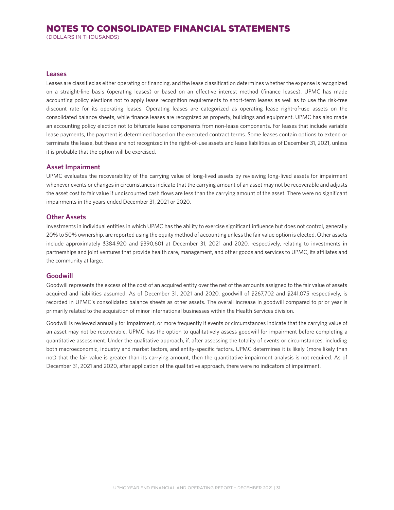(DOLLARS IN THOUSANDS)

#### **Leases**

Leases are classified as either operating or financing, and the lease classification determines whether the expense is recognized on a straight-line basis (operating leases) or based on an effective interest method (finance leases). UPMC has made accounting policy elections not to apply lease recognition requirements to short-term leases as well as to use the risk-free discount rate for its operating leases. Operating leases are categorized as operating lease right-of-use assets on the consolidated balance sheets, while finance leases are recognized as property, buildings and equipment. UPMC has also made an accounting policy election not to bifurcate lease components from non-lease components. For leases that include variable lease payments, the payment is determined based on the executed contract terms. Some leases contain options to extend or terminate the lease, but these are not recognized in the right-of-use assets and lease liabilities as of December 31, 2021, unless it is probable that the option will be exercised.

#### **Asset Impairment**

UPMC evaluates the recoverability of the carrying value of long-lived assets by reviewing long-lived assets for impairment whenever events or changes in circumstances indicate that the carrying amount of an asset may not be recoverable and adjusts the asset cost to fair value if undiscounted cash flows are less than the carrying amount of the asset. There were no significant impairments in the years ended December 31, 2021 or 2020.

## **Other Assets**

Investments in individual entities in which UPMC has the ability to exercise significant influence but does not control, generally 20% to 50% ownership, are reported using the equity method of accounting unless the fair value option is elected. Other assets include approximately \$384,920 and \$390,601 at December 31, 2021 and 2020, respectively, relating to investments in partnerships and joint ventures that provide health care, management, and other goods and services to UPMC, its affiliates and the community at large.

## **Goodwill**

Goodwill represents the excess of the cost of an acquired entity over the net of the amounts assigned to the fair value of assets acquired and liabilities assumed. As of December 31, 2021 and 2020, goodwill of \$267,702 and \$241,075 respectively, is recorded in UPMC's consolidated balance sheets as other assets. The overall increase in goodwill compared to prior year is primarily related to the acquisition of minor international businesses within the Health Services division.

Goodwill is reviewed annually for impairment, or more frequently if events or circumstances indicate that the carrying value of an asset may not be recoverable. UPMC has the option to qualitatively assess goodwill for impairment before completing a quantitative assessment. Under the qualitative approach, if, after assessing the totality of events or circumstances, including both macroeconomic, industry and market factors, and entity-specific factors, UPMC determines it is likely (more likely than not) that the fair value is greater than its carrying amount, then the quantitative impairment analysis is not required. As of December 31, 2021 and 2020, after application of the qualitative approach, there were no indicators of impairment.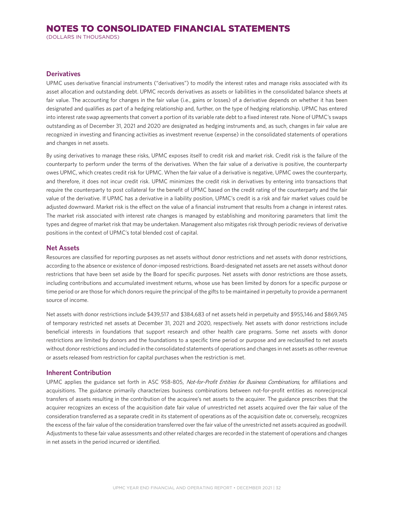(DOLLARS IN THOUSANDS)

## **Derivatives**

UPMC uses derivative financial instruments ("derivatives") to modify the interest rates and manage risks associated with its asset allocation and outstanding debt. UPMC records derivatives as assets or liabilities in the consolidated balance sheets at fair value. The accounting for changes in the fair value (i.e., gains or losses) of a derivative depends on whether it has been designated and qualifies as part of a hedging relationship and, further, on the type of hedging relationship. UPMC has entered into interest rate swap agreements that convert a portion of its variable rate debt to a fixed interest rate. None of UPMC's swaps outstanding as of December 31, 2021 and 2020 are designated as hedging instruments and, as such, changes in fair value are recognized in investing and financing activities as investment revenue (expense) in the consolidated statements of operations and changes in net assets.

By using derivatives to manage these risks, UPMC exposes itself to credit risk and market risk. Credit risk is the failure of the counterparty to perform under the terms of the derivatives. When the fair value of a derivative is positive, the counterparty owes UPMC, which creates credit risk for UPMC. When the fair value of a derivative is negative, UPMC owes the counterparty, and therefore, it does not incur credit risk. UPMC minimizes the credit risk in derivatives by entering into transactions that require the counterparty to post collateral for the benefit of UPMC based on the credit rating of the counterparty and the fair value of the derivative. If UPMC has a derivative in a liability position, UPMC's credit is a risk and fair market values could be adjusted downward. Market risk is the effect on the value of a financial instrument that results from a change in interest rates. The market risk associated with interest rate changes is managed by establishing and monitoring parameters that limit the types and degree of market risk that may be undertaken. Management also mitigates risk through periodic reviews of derivative positions in the context of UPMC's total blended cost of capital.

## **Net Assets**

Resources are classified for reporting purposes as net assets without donor restrictions and net assets with donor restrictions, according to the absence or existence of donor-imposed restrictions. Board-designated net assets are net assets without donor restrictions that have been set aside by the Board for specific purposes. Net assets with donor restrictions are those assets, including contributions and accumulated investment returns, whose use has been limited by donors for a specific purpose or time period or are those for which donors require the principal of the gifts to be maintained in perpetuity to provide a permanent source of income.

Net assets with donor restrictions include \$439,517 and \$384,683 of net assets held in perpetuity and \$955,146 and \$869,745 of temporary restricted net assets at December 31, 2021 and 2020, respectively. Net assets with donor restrictions include beneficial interests in foundations that support research and other health care programs. Some net assets with donor restrictions are limited by donors and the foundations to a specific time period or purpose and are reclassified to net assets without donor restrictions and included in the consolidated statements of operations and changes in net assets as other revenue or assets released from restriction for capital purchases when the restriction is met.

#### **Inherent Contribution**

UPMC applies the guidance set forth in ASC 958-805, Not-for-Profit Entities for Business Combinations, for affiliations and acquisitions. The guidance primarily characterizes business combinations between not-for-profit entities as nonreciprocal transfers of assets resulting in the contribution of the acquiree's net assets to the acquirer. The guidance prescribes that the acquirer recognizes an excess of the acquisition date fair value of unrestricted net assets acquired over the fair value of the consideration transferred as a separate credit in its statement of operations as of the acquisition date or, conversely, recognizes the excess of the fair value of the consideration transferred over the fair value of the unrestricted net assets acquired as goodwill. Adjustments to these fair value assessments and other related charges are recorded in the statement of operations and changes in net assets in the period incurred or identified.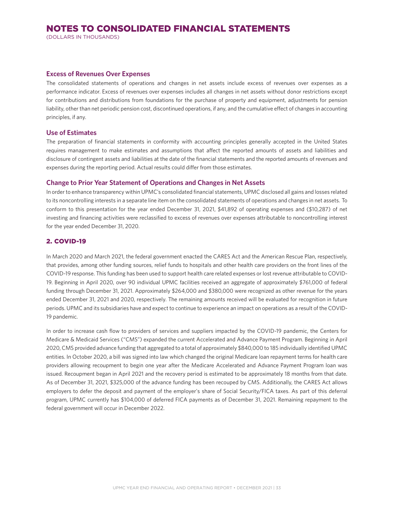(DOLLARS IN THOUSANDS)

#### **Excess of Revenues Over Expenses**

The consolidated statements of operations and changes in net assets include excess of revenues over expenses as a performance indicator. Excess of revenues over expenses includes all changes in net assets without donor restrictions except for contributions and distributions from foundations for the purchase of property and equipment, adjustments for pension liability, other than net periodic pension cost, discontinued operations, if any, and the cumulative effect of changes in accounting principles, if any.

## **Use of Estimates**

The preparation of financial statements in conformity with accounting principles generally accepted in the United States requires management to make estimates and assumptions that affect the reported amounts of assets and liabilities and disclosure of contingent assets and liabilities at the date of the financial statements and the reported amounts of revenues and expenses during the reporting period. Actual results could differ from those estimates.

#### **Change to Prior Year Statement of Operations and Changes in Net Assets**

In order to enhance transparency within UPMC's consolidated financial statements, UPMC disclosed all gains and losses related to its noncontrolling interests in a separate line item on the consolidated statements of operations and changes in net assets. To conform to this presentation for the year ended December 31, 2021, \$41,892 of operating expenses and (\$10,287) of net investing and financing activities were reclassified to excess of revenues over expenses attributable to noncontrolling interest for the year ended December 31, 2020.

## 2. COVID-19

In March 2020 and March 2021, the federal government enacted the CARES Act and the American Rescue Plan, respectively, that provides, among other funding sources, relief funds to hospitals and other health care providers on the front lines of the COVID-19 response. This funding has been used to support health care related expenses or lost revenue attributable to COVID-19. Beginning in April 2020, over 90 individual UPMC facilities received an aggregate of approximately \$761,000 of federal funding through December 31, 2021. Approximately \$264,000 and \$380,000 were recognized as other revenue for the years ended December 31, 2021 and 2020, respectively. The remaining amounts received will be evaluated for recognition in future periods. UPMC and its subsidiaries have and expect to continue to experience an impact on operations as a result of the COVID-19 pandemic.

In order to increase cash flow to providers of services and suppliers impacted by the COVID-19 pandemic, the Centers for Medicare & Medicaid Services ("CMS") expanded the current Accelerated and Advance Payment Program. Beginning in April 2020, CMS provided advance funding that aggregated to a total of approximately \$840,000 to 185 individually identified UPMC entities. In October 2020, a bill was signed into law which changed the original Medicare loan repayment terms for health care providers allowing recoupment to begin one year after the Medicare Accelerated and Advance Payment Program loan was issued. Recoupment began in April 2021 and the recovery period is estimated to be approximately 18 months from that date. As of December 31, 2021, \$325,000 of the advance funding has been recouped by CMS. Additionally, the CARES Act allows employers to defer the deposit and payment of the employer's share of Social Security/FICA taxes. As part of this deferral program, UPMC currently has \$104,000 of deferred FICA payments as of December 31, 2021. Remaining repayment to the federal government will occur in December 2022.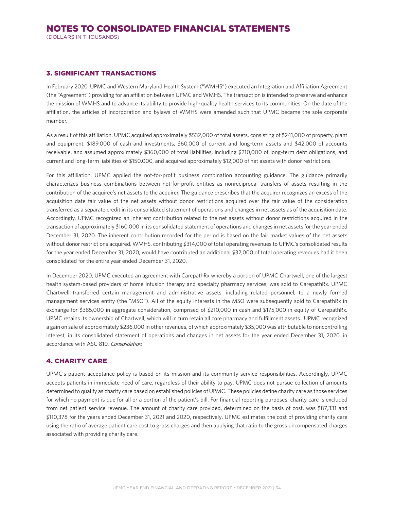#### 3. SIGNIFICANT TRANSACTIONS

In February 2020, UPMC and Western Maryland Health System ("WMHS") executed an Integration and Affiliation Agreement (the "Agreement") providing for an affiliation between UPMC and WMHS. The transaction is intended to preserve and enhance the mission of WMHS and to advance its ability to provide high-quality health services to its communities. On the date of the affiliation, the articles of incorporation and bylaws of WMHS were amended such that UPMC became the sole corporate member.

As a result of this affiliation, UPMC acquired approximately \$532,000 of total assets, consisting of \$241,000 of property, plant and equipment, \$189,000 of cash and investments, \$60,000 of current and long-term assets and \$42,000 of accounts receivable, and assumed approximately \$360,000 of total liabilities, including \$210,000 of long-term debt obligations, and current and long-term liabilities of \$150,000, and acquired approximately \$12,000 of net assets with donor restrictions.

For this affiliation, UPMC applied the not-for-profit business combination accounting guidance. The guidance primarily characterizes business combinations between not-for-profit entities as nonreciprocal transfers of assets resulting in the contribution of the acquiree's net assets to the acquirer. The guidance prescribes that the acquirer recognizes an excess of the acquisition date fair value of the net assets without donor restrictions acquired over the fair value of the consideration transferred as a separate credit in its consolidated statement of operations and changes in net assets as of the acquisition date. Accordingly, UPMC recognized an inherent contribution related to the net assets without donor restrictions acquired in the transaction of approximately \$160,000 in its consolidated statement of operations and changes in net assets for the year ended December 31, 2020. The inherent contribution recorded for the period is based on the fair market values of the net assets without donor restrictions acquired. WMHS, contributing \$314,000 of total operating revenues to UPMC's consolidated results for the year ended December 31, 2020, would have contributed an additional \$32,000 of total operating revenues had it been consolidated for the entire year ended December 31, 2020.

In December 2020, UPMC executed an agreement with CarepathRx whereby a portion of UPMC Chartwell, one of the largest health system-based providers of home infusion therapy and specialty pharmacy services, was sold to CarepathRx. UPMC Chartwell transferred certain management and administrative assets, including related personnel, to a newly formed management services entity (the "MSO"). All of the equity interests in the MSO were subsequently sold to CarepathRx in exchange for \$385,000 in aggregate consideration, comprised of \$210,000 in cash and \$175,000 in equity of CarepathRx. UPMC retains its ownership of Chartwell, which will in turn retain all core pharmacy and fulfillment assets. UPMC recognized a gain on sale of approximately \$236,000 in other revenues, of which approximately \$35,000 was attributable to noncontrolling interest, in its consolidated statement of operations and changes in net assets for the year ended December 31, 2020, in accordance with ASC 810, Consolidation.

## 4. CHARITY CARE

UPMC's patient acceptance policy is based on its mission and its community service responsibilities. Accordingly, UPMC accepts patients in immediate need of care, regardless of their ability to pay. UPMC does not pursue collection of amounts determined to qualify as charity care based on established policies of UPMC. These policies define charity care as those services for which no payment is due for all or a portion of the patient's bill. For financial reporting purposes, charity care is excluded from net patient service revenue. The amount of charity care provided, determined on the basis of cost, was \$87,331 and \$110,378 for the years ended December 31, 2021 and 2020, respectively. UPMC estimates the cost of providing charity care using the ratio of average patient care cost to gross charges and then applying that ratio to the gross uncompensated charges associated with providing charity care.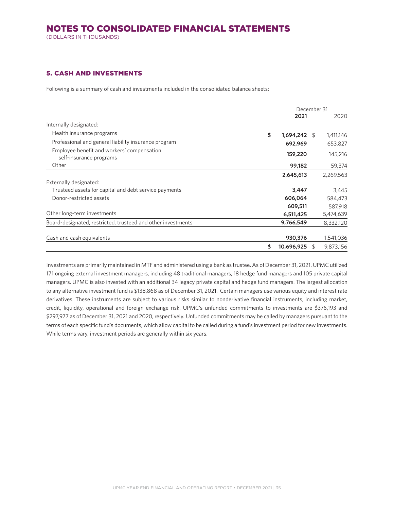(DOLLARS IN THOUSANDS)

## 5. CASH AND INVESTMENTS

Following is a summary of cash and investments included in the consolidated balance sheets:

|                                                                       | December 31          |               |           |
|-----------------------------------------------------------------------|----------------------|---------------|-----------|
|                                                                       | 2021                 |               | 2020      |
| Internally designated:                                                |                      |               |           |
| Health insurance programs                                             | \$<br>$1,694,242$ \$ |               | 1,411,146 |
| Professional and general liability insurance program                  | 692,969              |               | 653,827   |
| Employee benefit and workers' compensation<br>self-insurance programs | 159,220              |               | 145,216   |
| Other                                                                 | 99,182               |               | 59,374    |
|                                                                       | 2,645,613            |               | 2,269,563 |
| Externally designated:                                                |                      |               |           |
| Trusteed assets for capital and debt service payments                 | 3,447                |               | 3,445     |
| Donor-restricted assets                                               | 606,064              |               | 584,473   |
|                                                                       | 609,511              |               | 587,918   |
| Other long-term investments                                           | 6,511,425            |               | 5,474,639 |
| Board-designated, restricted, trusteed and other investments          | 9,766,549            |               | 8,332,120 |
| Cash and cash equivalents                                             | 930,376              |               | 1,541,036 |
|                                                                       | \$<br>10,696,925     | <sup>\$</sup> | 9,873,156 |

Investments are primarily maintained in MTF and administered using a bank as trustee. As of December 31, 2021, UPMC utilized 171 ongoing external investment managers, including 48 traditional managers, 18 hedge fund managers and 105 private capital managers. UPMC is also invested with an additional 34 legacy private capital and hedge fund managers. The largest allocation to any alternative investment fund is \$138,868 as of December 31, 2021. Certain managers use various equity and interest rate derivatives. These instruments are subject to various risks similar to nonderivative financial instruments, including market, credit, liquidity, operational and foreign exchange risk. UPMC's unfunded commitments to investments are \$376,193 and \$297,977 as of December 31, 2021 and 2020, respectively. Unfunded commitments may be called by managers pursuant to the terms of each specific fund's documents, which allow capital to be called during a fund's investment period for new investments. While terms vary, investment periods are generally within six years.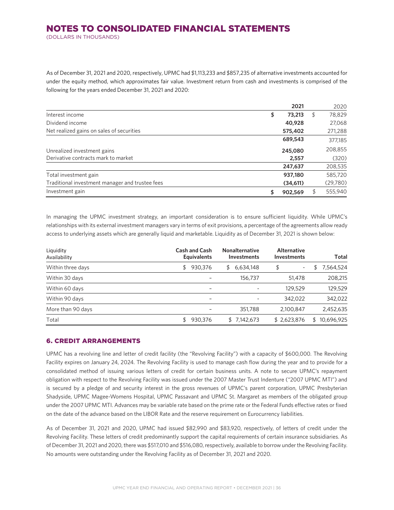## NOTES TO CONSOLIDATED FINANCIAL STATEMENTS (DOLLARS IN THOUSANDS)

As of December 31, 2021 and 2020, respectively, UPMC had \$1,113,233 and \$857,235 of alternative investments accounted for under the equity method, which approximates fair value. Investment return from cash and investments is comprised of the following for the years ended December 31, 2021 and 2020:

|                                                 | 2021          | 2020          |
|-------------------------------------------------|---------------|---------------|
| Interest income                                 | \$<br>73,213  | \$<br>78,829  |
| Dividend income                                 | 40,928        | 27,068        |
| Net realized gains on sales of securities       | 575,402       | 271,288       |
|                                                 | 689,543       | 377,185       |
| Unrealized investment gains                     | 245,080       | 208,855       |
| Derivative contracts mark to market             | 2,557         | (320)         |
|                                                 | 247,637       | 208,535       |
| Total investment gain                           | 937,180       | 585,720       |
| Traditional investment manager and trustee fees | (34,611)      | (29,780)      |
| Investment gain                                 | \$<br>902,569 | \$<br>555,940 |

In managing the UPMC investment strategy, an important consideration is to ensure sufficient liquidity. While UPMC's relationships with its external investment managers vary in terms of exit provisions, a percentage of the agreements allow ready access to underlying assets which are generally liquid and marketable. Liquidity as of December 31, 2021 is shown below:

| Liquidity<br>Availability | <b>Cash and Cash</b><br><b>Equivalents</b> | <b>Nonalternative</b><br><b>Investments</b> | <b>Alternative</b><br><b>Investments</b> | Total            |
|---------------------------|--------------------------------------------|---------------------------------------------|------------------------------------------|------------------|
| Within three days         | 930,376<br>\$                              | 6,634,148<br>S                              | \$                                       | 7,564,524<br>₽   |
| Within 30 days            |                                            | 156,737                                     | 51,478                                   | 208,215          |
| Within 60 days            | -                                          | ۰                                           | 129,529                                  | 129,529          |
| Within 90 days            | ۰                                          |                                             | 342,022                                  | 342,022          |
| More than 90 days         |                                            | 351,788                                     | 2,100,847                                | 2,452,635        |
| Total                     | 930,376                                    | 7.142.673<br>\$                             | \$2,623,876                              | 10,696,925<br>\$ |

## 6. CREDIT ARRANGEMENTS

UPMC has a revolving line and letter of credit facility (the "Revolving Facility") with a capacity of \$600,000. The Revolving Facility expires on January 24, 2024. The Revolving Facility is used to manage cash flow during the year and to provide for a consolidated method of issuing various letters of credit for certain business units. A note to secure UPMC's repayment obligation with respect to the Revolving Facility was issued under the 2007 Master Trust Indenture ("2007 UPMC MTI") and is secured by a pledge of and security interest in the gross revenues of UPMC's parent corporation, UPMC Presbyterian Shadyside, UPMC Magee-Womens Hospital, UPMC Passavant and UPMC St. Margaret as members of the obligated group under the 2007 UPMC MTI. Advances may be variable rate based on the prime rate or the Federal Funds effective rates or fixed on the date of the advance based on the LIBOR Rate and the reserve requirement on Eurocurrency liabilities.

As of December 31, 2021 and 2020, UPMC had issued \$82,990 and \$83,920, respectively, of letters of credit under the Revolving Facility. These letters of credit predominantly support the capital requirements of certain insurance subsidiaries. As of December 31, 2021 and 2020, there was \$517,010 and \$516,080, respectively, available to borrow under the Revolving Facility. No amounts were outstanding under the Revolving Facility as of December 31, 2021 and 2020.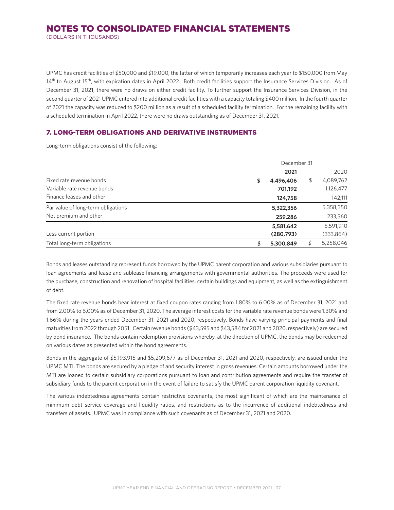(DOLLARS IN THOUSANDS)

UPMC has credit facilities of \$50,000 and \$19,000, the latter of which temporarily increases each year to \$150,000 from May 14<sup>th</sup> to August 15<sup>th</sup>, with expiration dates in April 2022. Both credit facilities support the Insurance Services Division. As of December 31, 2021, there were no draws on either credit facility. To further support the Insurance Services Division, in the second quarter of 2021 UPMC entered into additional credit facilities with a capacity totaling \$400 million. In the fourth quarter of 2021 the capacity was reduced to \$200 million as a result of a scheduled facility termination. For the remaining facility with a scheduled termination in April 2022, there were no draws outstanding as of December 31, 2021.

## 7. LONG-TERM OBLIGATIONS AND DERIVATIVE INSTRUMENTS

Long-term obligations consist of the following:

|                                    | December 31     |                 |
|------------------------------------|-----------------|-----------------|
|                                    | 2021            | 2020            |
| Fixed rate revenue bonds           | \$<br>4,496,406 | \$<br>4,089,762 |
| Variable rate revenue bonds        | 701,192         | 1,126,477       |
| Finance leases and other           | 124,758         | 142,111         |
| Par value of long-term obligations | 5,322,356       | 5,358,350       |
| Net premium and other              | 259,286         | 233,560         |
|                                    | 5,581,642       | 5,591,910       |
| Less current portion               | (280,793)       | (333, 864)      |
| Total long-term obligations        | \$<br>5,300,849 | 5,258,046       |

Bonds and leases outstanding represent funds borrowed by the UPMC parent corporation and various subsidiaries pursuant to loan agreements and lease and sublease financing arrangements with governmental authorities. The proceeds were used for the purchase, construction and renovation of hospital facilities, certain buildings and equipment, as well as the extinguishment of debt.

The fixed rate revenue bonds bear interest at fixed coupon rates ranging from 1.80% to 6.00% as of December 31, 2021 and from 2.00% to 6.00% as of December 31, 2020. The average interest costs for the variable rate revenue bonds were 1.30% and 1.66% during the years ended December 31, 2021 and 2020, respectively. Bonds have varying principal payments and final maturities from 2022 through 2051. Certain revenue bonds (\$43,595 and \$43,584 for 2021 and 2020, respectively) are secured by bond insurance. The bonds contain redemption provisions whereby, at the direction of UPMC, the bonds may be redeemed on various dates as presented within the bond agreements.

Bonds in the aggregate of \$5,193,915 and \$5,209,677 as of December 31, 2021 and 2020, respectively, are issued under the UPMC MTI. The bonds are secured by a pledge of and security interest in gross revenues. Certain amounts borrowed under the MTI are loaned to certain subsidiary corporations pursuant to loan and contribution agreements and require the transfer of subsidiary funds to the parent corporation in the event of failure to satisfy the UPMC parent corporation liquidity covenant.

The various indebtedness agreements contain restrictive covenants, the most significant of which are the maintenance of minimum debt service coverage and liquidity ratios, and restrictions as to the incurrence of additional indebtedness and transfers of assets. UPMC was in compliance with such covenants as of December 31, 2021 and 2020.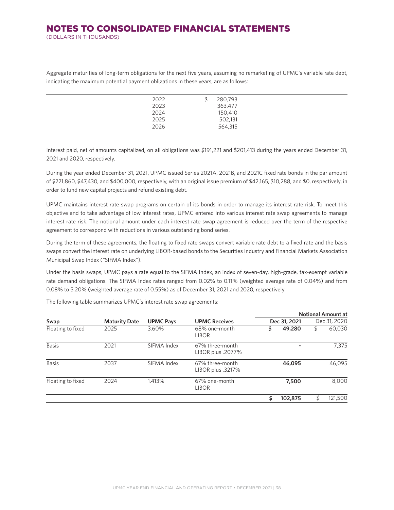## NOTES TO CONSOLIDATED FINANCIAL STATEMENTS (DOLLARS IN THOUSANDS)

Aggregate maturities of long-term obligations for the next five years, assuming no remarketing of UPMC's variable rate debt, indicating the maximum potential payment obligations in these years, are as follows:

| 2022 | 280,793 |
|------|---------|
| 2023 | 363,477 |
| 2024 | 150,410 |
| 2025 | 502,131 |
| 2026 | 564,315 |
|      |         |

Interest paid, net of amounts capitalized, on all obligations was \$191,221 and \$201,413 during the years ended December 31, 2021 and 2020, respectively.

During the year ended December 31, 2021, UPMC issued Series 2021A, 2021B, and 2021C fixed rate bonds in the par amount of \$221,860, \$47,430, and \$400,000, respectively, with an original issue premium of \$42,165, \$10,288, and \$0, respectively, in order to fund new capital projects and refund existing debt.

UPMC maintains interest rate swap programs on certain of its bonds in order to manage its interest rate risk. To meet this objective and to take advantage of low interest rates, UPMC entered into various interest rate swap agreements to manage interest rate risk. The notional amount under each interest rate swap agreement is reduced over the term of the respective agreement to correspond with reductions in various outstanding bond series.

During the term of these agreements, the floating to fixed rate swaps convert variable rate debt to a fixed rate and the basis swaps convert the interest rate on underlying LIBOR-based bonds to the Securities Industry and Financial Markets Association Municipal Swap Index ("SIFMA Index").

Under the basis swaps, UPMC pays a rate equal to the SIFMA Index, an index of seven-day, high-grade, tax-exempt variable rate demand obligations. The SIFMA Index rates ranged from 0.02% to 0.11% (weighted average rate of 0.04%) and from 0.08% to 5.20% (weighted average rate of 0.55%) as of December 31, 2021 and 2020, respectively.

|                   |                      |                  |                                      |               |              | <b>Notional Amount at</b> |  |
|-------------------|----------------------|------------------|--------------------------------------|---------------|--------------|---------------------------|--|
| Swap              | <b>Maturity Date</b> | <b>UPMC Pays</b> | <b>UPMC Receives</b>                 | Dec 31, 2021  | Dec 31, 2020 |                           |  |
| Floating to fixed | 2025                 | 3.60%            | 68% one-month<br><b>LIBOR</b>        | \$<br>49,280  | \$           | 60,030                    |  |
| <b>Basis</b>      | 2021                 | SIFMA Index      | 67% three-month<br>LIBOR plus .2077% |               |              | 7.375                     |  |
| <b>Basis</b>      | 2037                 | SIFMA Index      | 67% three-month<br>LIBOR plus .3217% | 46,095        |              | 46,095                    |  |
| Floating to fixed | 2024                 | 1.413%           | 67% one-month<br><b>LIBOR</b>        | 7,500         |              | 8,000                     |  |
|                   |                      |                  |                                      | \$<br>102,875 |              | 121,500                   |  |

The following table summarizes UPMC's interest rate swap agreements: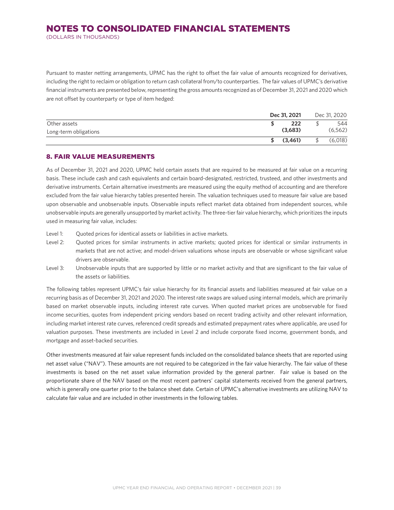(DOLLARS IN THOUSANDS)

Pursuant to master netting arrangements, UPMC has the right to offset the fair value of amounts recognized for derivatives, including the right to reclaim or obligation to return cash collateral from/to counterparties. The fair values of UPMC's derivative financial instruments are presented below, representing the gross amounts recognized as of December 31, 2021 and 2020 which are not offset by counterparty or type of item hedged:

|                       | Dec 31, 2021 | Dec 31, 2020 |
|-----------------------|--------------|--------------|
| Other assets          | 222          | 544          |
| Long-term obligations | (3,683)      | (6, 562)     |
|                       | (3.461)      | (6,018)      |

## 8. FAIR VALUE MEASUREMENTS

As of December 31, 2021 and 2020, UPMC held certain assets that are required to be measured at fair value on a recurring basis. These include cash and cash equivalents and certain board-designated, restricted, trusteed, and other investments and derivative instruments. Certain alternative investments are measured using the equity method of accounting and are therefore excluded from the fair value hierarchy tables presented herein. The valuation techniques used to measure fair value are based upon observable and unobservable inputs. Observable inputs reflect market data obtained from independent sources, while unobservable inputs are generally unsupported by market activity. The three-tier fair value hierarchy, which prioritizes the inputs used in measuring fair value, includes:

- Level 1: Quoted prices for identical assets or liabilities in active markets.
- Level 2: Quoted prices for similar instruments in active markets; quoted prices for identical or similar instruments in markets that are not active; and model-driven valuations whose inputs are observable or whose significant value drivers are observable.
- Level 3: Unobservable inputs that are supported by little or no market activity and that are significant to the fair value of the assets or liabilities.

The following tables represent UPMC's fair value hierarchy for its financial assets and liabilities measured at fair value on a recurring basis as of December 31, 2021 and 2020. The interest rate swaps are valued using internal models, which are primarily based on market observable inputs, including interest rate curves. When quoted market prices are unobservable for fixed income securities, quotes from independent pricing vendors based on recent trading activity and other relevant information, including market interest rate curves, referenced credit spreads and estimated prepayment rates where applicable, are used for valuation purposes. These investments are included in Level 2 and include corporate fixed income, government bonds, and mortgage and asset-backed securities.

Other investments measured at fair value represent funds included on the consolidated balance sheets that are reported using net asset value ("NAV"). These amounts are not required to be categorized in the fair value hierarchy. The fair value of these investments is based on the net asset value information provided by the general partner. Fair value is based on the proportionate share of the NAV based on the most recent partners' capital statements received from the general partners, which is generally one quarter prior to the balance sheet date. Certain of UPMC's alternative investments are utilizing NAV to calculate fair value and are included in other investments in the following tables.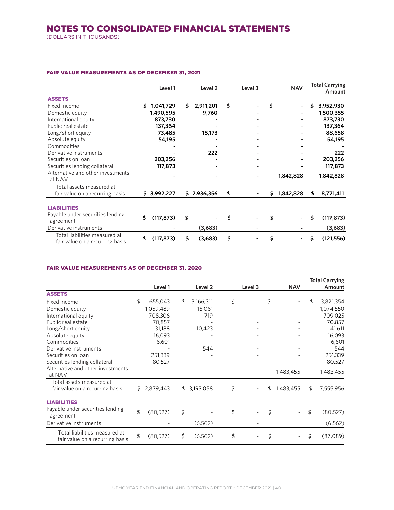(DOLLARS IN THOUSANDS)

#### FAIR VALUE MEASUREMENTS AS OF DECEMBER 31, 2021

|                                                                  | Level 1 |             | Level 2 | Level 3     |    | <b>NAV</b> |    | <b>Total Carrying</b><br>Amount |                  |
|------------------------------------------------------------------|---------|-------------|---------|-------------|----|------------|----|---------------------------------|------------------|
| <b>ASSETS</b>                                                    |         |             |         |             |    |            |    |                                 |                  |
| Fixed income                                                     | \$      | 1,041,729   | S       | 2,911,201   | \$ |            | \$ |                                 | 3,952,930        |
| Domestic equity                                                  |         | 1,490,595   |         | 9,760       |    |            |    |                                 | 1,500,355        |
| International equity                                             |         | 873,730     |         |             |    |            |    |                                 | 873,730          |
| Public real estate                                               |         | 137,364     |         |             |    |            |    |                                 | 137,364          |
| Long/short equity                                                |         | 73,485      |         | 15,173      |    |            |    |                                 | 88,658           |
| Absolute equity                                                  |         | 54,195      |         |             |    |            |    |                                 | 54,195           |
| Commodities                                                      |         |             |         |             |    |            |    |                                 |                  |
| Derivative instruments                                           |         |             |         | 222         |    |            |    |                                 | 222              |
| Securities on loan                                               |         | 203,256     |         |             |    |            |    |                                 | 203,256          |
| Securities lending collateral                                    |         | 117,873     |         |             |    |            |    |                                 | 117,873          |
| Alternative and other investments<br>at NAV                      |         |             |         |             |    |            |    | 1,842,828                       | 1,842,828        |
| Total assets measured at                                         |         |             |         |             |    |            |    |                                 |                  |
| fair value on a recurring basis                                  |         | \$3,992,227 |         | \$2,936,356 | \$ |            | \$ | 1,842,828                       | \$<br>8,771,411  |
| <b>LIABILITIES</b>                                               |         |             |         |             |    |            |    |                                 |                  |
| Payable under securities lending<br>agreement                    | \$      | (117, 873)  | \$      |             | \$ |            |    |                                 | \$<br>(117, 873) |
| Derivative instruments                                           |         |             |         | (3,683)     |    |            |    |                                 | (3,683)          |
| Total liabilities measured at<br>fair value on a recurring basis | \$      | (117, 873)  | \$      | (3,683)     | \$ |            | \$ |                                 | \$<br>(121, 556) |

#### FAIR VALUE MEASUREMENTS AS OF DECEMBER 31, 2020

|                                                                  |                 |                    |         |                 | <b>Total Carrying</b> |
|------------------------------------------------------------------|-----------------|--------------------|---------|-----------------|-----------------------|
|                                                                  | Level 1         | Level <sub>2</sub> | Level 3 | <b>NAV</b>      | Amount                |
| <b>ASSETS</b>                                                    |                 |                    |         |                 |                       |
| Fixed income                                                     | \$<br>655,043   | \$<br>3,166,311    | \$      | \$              | \$<br>3,821,354       |
| Domestic equity                                                  | 1,059,489       | 15,061             |         |                 | 1,074,550             |
| International equity                                             | 708,306         | 719                |         |                 | 709,025               |
| Public real estate                                               | 70,857          |                    |         |                 | 70,857                |
| Long/short equity                                                | 31,188          | 10,423             |         |                 | 41,611                |
| Absolute equity                                                  | 16,093          |                    |         |                 | 16,093                |
| Commodities                                                      | 6,601           |                    |         |                 | 6,601                 |
| Derivative instruments                                           |                 | 544                |         |                 | 544                   |
| Securities on loan                                               | 251,339         |                    |         |                 | 251,339               |
| Securities lending collateral                                    | 80,527          |                    |         |                 | 80,527                |
| Alternative and other investments<br>at NAV                      |                 |                    |         | 1,483,455       | 1,483,455             |
| Total assets measured at                                         |                 |                    |         |                 |                       |
| fair value on a recurring basis                                  | \$<br>2,879,443 | \$3,193,058        | \$      | \$<br>1,483,455 | \$<br>7,555,956       |
| <b>LIABILITIES</b>                                               |                 |                    |         |                 |                       |
| Payable under securities lending<br>agreement                    | \$<br>(80,527)  | \$                 | \$      | \$              | \$<br>(80, 527)       |
| Derivative instruments                                           |                 | (6, 562)           |         |                 | (6, 562)              |
| Total liabilities measured at<br>fair value on a recurring basis | \$<br>(80, 527) | \$<br>(6, 562)     | \$      | \$              | \$<br>(87,089)        |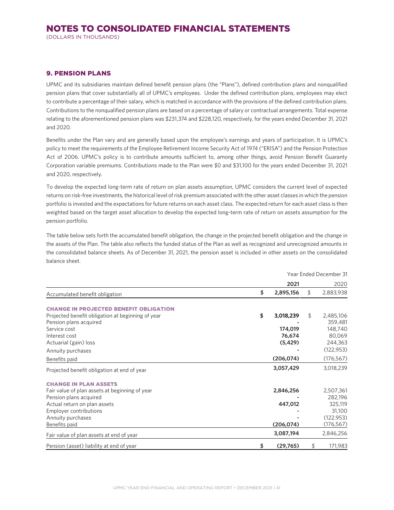(DOLLARS IN THOUSANDS)

## 9. PENSION PLANS

UPMC and its subsidiaries maintain defined benefit pension plans (the "Plans"), defined contribution plans and nonqualified pension plans that cover substantially all of UPMC's employees. Under the defined contribution plans, employees may elect to contribute a percentage of their salary, which is matched in accordance with the provisions of the defined contribution plans. Contributions to the nonqualified pension plans are based on a percentage of salary or contractual arrangements. Total expense relating to the aforementioned pension plans was \$231,374 and \$228,120, respectively, for the years ended December 31, 2021 and 2020.

Benefits under the Plan vary and are generally based upon the employee's earnings and years of participation. It is UPMC's policy to meet the requirements of the Employee Retirement Income Security Act of 1974 ("ERISA") and the Pension Protection Act of 2006. UPMC's policy is to contribute amounts sufficient to, among other things, avoid Pension Benefit Guaranty Corporation variable premiums. Contributions made to the Plan were \$0 and \$31,100 for the years ended December 31, 2021 and 2020, respectively.

To develop the expected long-term rate of return on plan assets assumption, UPMC considers the current level of expected returns on risk-free investments, the historical level of risk premium associated with the other asset classes in which the pension portfolio is invested and the expectations for future returns on each asset class. The expected return for each asset class is then weighted based on the target asset allocation to develop the expected long-term rate of return on assets assumption for the pension portfolio.

The table below sets forth the accumulated benefit obligation, the change in the projected benefit obligation and the change in the assets of the Plan. The table also reflects the funded status of the Plan as well as recognized and unrecognized amounts in the consolidated balance sheets. As of December 31, 2021, the pension asset is included in other assets on the consolidated balance sheet.

|                                                   | Year Ended December 31 |            |    |            |  |
|---------------------------------------------------|------------------------|------------|----|------------|--|
|                                                   |                        | 2021       |    | 2020       |  |
| Accumulated benefit obligation                    | \$                     | 2,895,156  | \$ | 2,883,938  |  |
| <b>CHANGE IN PROJECTED BENEFIT OBLIGATION</b>     |                        |            |    |            |  |
| Projected benefit obligation at beginning of year | \$                     | 3,018,239  | \$ | 2,485,106  |  |
| Pension plans acquired                            |                        |            |    | 359,481    |  |
| Service cost                                      |                        | 174,019    |    | 148,740    |  |
| Interest cost                                     |                        | 76,674     |    | 80,069     |  |
| Actuarial (gain) loss                             |                        | (5, 429)   |    | 244,363    |  |
| Annuity purchases                                 |                        |            |    | (122, 953) |  |
| Benefits paid                                     |                        | (206, 074) |    | (176, 567) |  |
| Projected benefit obligation at end of year       |                        | 3,057,429  |    | 3,018,239  |  |
| <b>CHANGE IN PLAN ASSETS</b>                      |                        |            |    |            |  |
| Fair value of plan assets at beginning of year    |                        | 2,846,256  |    | 2,507,361  |  |
| Pension plans acquired                            |                        |            |    | 282,196    |  |
| Actual return on plan assets                      |                        | 447,012    |    | 325,119    |  |
| Employer contributions                            |                        |            |    | 31,100     |  |
| Annuity purchases                                 |                        |            |    | (122, 953) |  |
| Benefits paid                                     |                        | (206, 074) |    | (176,567)  |  |
| Fair value of plan assets at end of year          |                        | 3,087,194  |    | 2,846,256  |  |
| Pension (asset) liability at end of year          | \$                     | (29,765)   | \$ | 171,983    |  |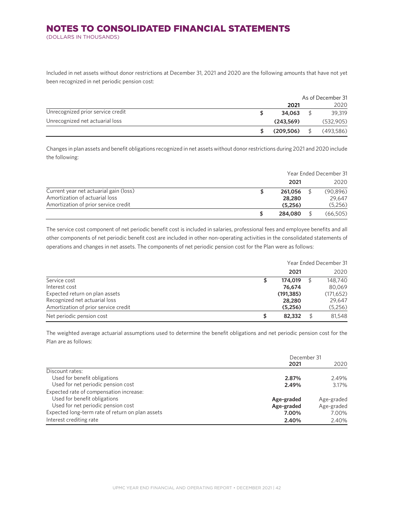(DOLLARS IN THOUSANDS)

Included in net assets without donor restrictions at December 31, 2021 and 2020 are the following amounts that have not yet been recognized in net periodic pension cost:

|                                   | As of December 31 |  |           |  |
|-----------------------------------|-------------------|--|-----------|--|
|                                   | 2021              |  | 2020      |  |
| Unrecognized prior service credit | 34,063            |  | 39,319    |  |
| Unrecognized net actuarial loss   | (243, 569)        |  | (532,905) |  |
|                                   | (209, 506)        |  | (493,586) |  |

Changes in plan assets and benefit obligations recognized in net assets without donor restrictions during 2021 and 2020 include the following:

|                                                                                                                  |  | Year Ended December 31       |  |                                |
|------------------------------------------------------------------------------------------------------------------|--|------------------------------|--|--------------------------------|
|                                                                                                                  |  | 2021                         |  | 2020                           |
| Current year net actuarial gain (loss)<br>Amortization of actuarial loss<br>Amortization of prior service credit |  | 261,056<br>28,280<br>(5,256) |  | (90, 896)<br>29,647<br>(5,256) |
|                                                                                                                  |  | 284,080                      |  | (66,505)                       |

The service cost component of net periodic benefit cost is included in salaries, professional fees and employee benefits and all other components of net periodic benefit cost are included in other non-operating activities in the consolidated statements of operations and changes in net assets. The components of net periodic pension cost for the Plan were as follows:

|                                      |   | Year Ended December 31 |  |            |  |  |
|--------------------------------------|---|------------------------|--|------------|--|--|
|                                      |   | 2021                   |  | 2020       |  |  |
| Service cost                         |   | 174,019                |  | 148,740    |  |  |
| Interest cost                        |   | 76,674                 |  | 80,069     |  |  |
| Expected return on plan assets       |   | (191, 385)             |  | (171, 652) |  |  |
| Recognized net actuarial loss        |   | 28,280                 |  | 29,647     |  |  |
| Amortization of prior service credit |   | (5,256)                |  | (5,256)    |  |  |
| Net periodic pension cost            | S | 82,332                 |  | 81,548     |  |  |

The weighted average actuarial assumptions used to determine the benefit obligations and net periodic pension cost for the Plan are as follows:

|                                                  | December 31 |            |  |
|--------------------------------------------------|-------------|------------|--|
|                                                  | 2021        | 2020       |  |
| Discount rates:                                  |             |            |  |
| Used for benefit obligations                     | 2.87%       | 2.49%      |  |
| Used for net periodic pension cost               | 2.49%       | 3.17%      |  |
| Expected rate of compensation increase:          |             |            |  |
| Used for benefit obligations                     | Age-graded  | Age-graded |  |
| Used for net periodic pension cost               | Age-graded  | Age-graded |  |
| Expected long-term rate of return on plan assets | 7.00%       | 7.00%      |  |
| Interest crediting rate                          | 2.40%       | 2.40%      |  |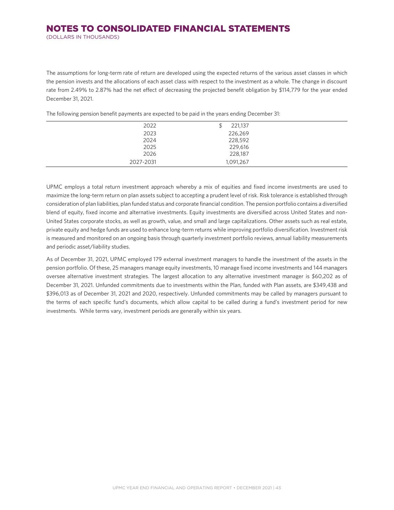## NOTES TO CONSOLIDATED FINANCIAL STATEMENTS (DOLLARS IN THOUSANDS)

The assumptions for long-term rate of return are developed using the expected returns of the various asset classes in which the pension invests and the allocations of each asset class with respect to the investment as a whole. The change in discount rate from 2.49% to 2.87% had the net effect of decreasing the projected benefit obligation by \$114,779 for the year ended December 31, 2021.

| 2022      | 221,137   |
|-----------|-----------|
| 2023      | 226,269   |
| 2024      | 228,592   |
| 2025      | 229,616   |
| 2026      | 228,187   |
| 2027-2031 | 1,091,267 |

The following pension benefit payments are expected to be paid in the years ending December 31:

UPMC employs a total return investment approach whereby a mix of equities and fixed income investments are used to maximize the long-term return on plan assets subject to accepting a prudent level of risk. Risk tolerance is established through consideration of plan liabilities, plan funded status and corporate financial condition. The pension portfolio contains a diversified blend of equity, fixed income and alternative investments. Equity investments are diversified across United States and non-United States corporate stocks, as well as growth, value, and small and large capitalizations. Other assets such as real estate, private equity and hedge funds are used to enhance long-term returns while improving portfolio diversification. Investment risk is measured and monitored on an ongoing basis through quarterly investment portfolio reviews, annual liability measurements and periodic asset/liability studies.

As of December 31, 2021, UPMC employed 179 external investment managers to handle the investment of the assets in the pension portfolio. Of these, 25 managers manage equity investments, 10 manage fixed income investments and 144 managers oversee alternative investment strategies. The largest allocation to any alternative investment manager is \$60,202 as of December 31, 2021. Unfunded commitments due to investments within the Plan, funded with Plan assets, are \$349,438 and \$396,013 as of December 31, 2021 and 2020, respectively. Unfunded commitments may be called by managers pursuant to the terms of each specific fund's documents, which allow capital to be called during a fund's investment period for new investments. While terms vary, investment periods are generally within six years.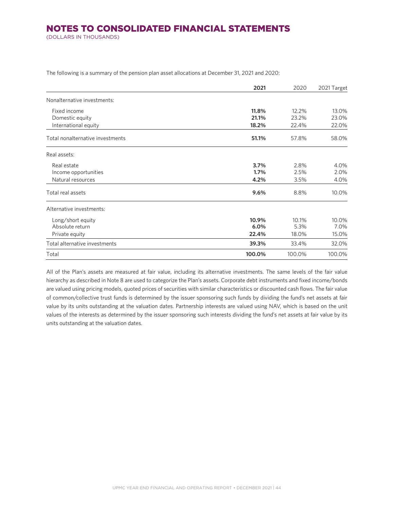(DOLLARS IN THOUSANDS)

|                                  | 2021   | 2020   | 2021 Target |
|----------------------------------|--------|--------|-------------|
| Nonalternative investments:      |        |        |             |
| Fixed income                     | 11.8%  | 12.2%  | 13.0%       |
| Domestic equity                  | 21.1%  | 23.2%  | 23.0%       |
| International equity             | 18.2%  | 22.4%  | 22.0%       |
| Total nonalternative investments | 51.1%  | 57.8%  | 58.0%       |
| Real assets:                     |        |        |             |
| Real estate                      | 3.7%   | 2.8%   | 4.0%        |
| Income opportunities             | 1.7%   | 2.5%   | 2.0%        |
| Natural resources                | 4.2%   | 3.5%   | 4.0%        |
| Total real assets                | 9.6%   | 8.8%   | 10.0%       |
| Alternative investments:         |        |        |             |
| Long/short equity                | 10.9%  | 10.1%  | 10.0%       |
| Absolute return                  | 6.0%   | 5.3%   | 7.0%        |
| Private equity                   | 22.4%  | 18.0%  | 15.0%       |
| Total alternative investments    | 39.3%  | 33.4%  | 32.0%       |
| Total                            | 100.0% | 100.0% | 100.0%      |

The following is a summary of the pension plan asset allocations at December 31, 2021 and 2020:

All of the Plan's assets are measured at fair value, including its alternative investments. The same levels of the fair value hierarchy as described in Note 8 are used to categorize the Plan's assets. Corporate debt instruments and fixed income/bonds are valued using pricing models, quoted prices of securities with similar characteristics or discounted cash flows. The fair value of common/collective trust funds is determined by the issuer sponsoring such funds by dividing the fund's net assets at fair value by its units outstanding at the valuation dates. Partnership interests are valued using NAV, which is based on the unit values of the interests as determined by the issuer sponsoring such interests dividing the fund's net assets at fair value by its units outstanding at the valuation dates.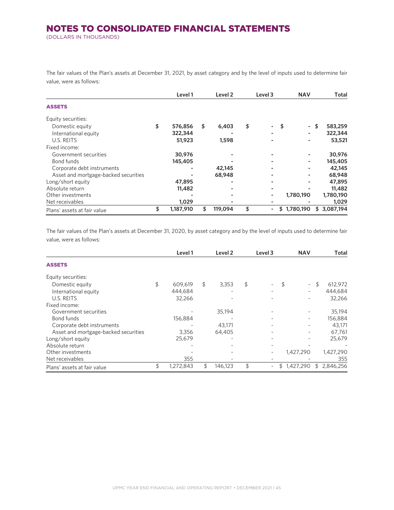(DOLLARS IN THOUSANDS)

The fair values of the Plan's assets at December 31, 2021, by asset category and by the level of inputs used to determine fair value, were as follows:

|                                      | Level 1         | Level <sub>2</sub> | Level 3  | <b>NAV</b>     | Total           |
|--------------------------------------|-----------------|--------------------|----------|----------------|-----------------|
| <b>ASSETS</b>                        |                 |                    |          |                |                 |
| Equity securities:                   |                 |                    |          |                |                 |
| Domestic equity                      | \$<br>576,856   | \$<br>6,403        | \$       | \$<br>۰.       | 583,259<br>\$   |
| International equity                 | 322,344         |                    |          |                | 322,344         |
| U.S. REITS                           | 51,923          | 1,598              |          |                | 53,521          |
| Fixed income:                        |                 |                    |          |                |                 |
| Government securities                | 30,976          |                    |          |                | 30,976          |
| Bond funds                           | 145,405         |                    |          |                | 145,405         |
| Corporate debt instruments           |                 | 42,145             |          |                | 42,145          |
| Asset and mortgage-backed securities |                 | 68,948             |          |                | 68,948          |
| Long/short equity                    | 47,895          |                    |          |                | 47,895          |
| Absolute return                      | 11,482          |                    |          |                | 11,482          |
| Other investments                    |                 |                    |          | 1,780,190      | 1,780,190       |
| Net receivables                      | 1,029           |                    |          |                | 1,029           |
| Plans' assets at fair value          | \$<br>1,187,910 | \$<br>119,094      | \$<br>Ξ. | 1,780,190<br>S | 3,087,194<br>\$ |

The fair values of the Plan's assets at December 31, 2020, by asset category and by the level of inputs used to determine fair value, were as follows:

|                                      | Level 1         | Level <sub>2</sub> | Level 3 | <b>NAV</b>      |    | Total     |
|--------------------------------------|-----------------|--------------------|---------|-----------------|----|-----------|
| <b>ASSETS</b>                        |                 |                    |         |                 |    |           |
| Equity securities:                   |                 |                    |         |                 |    |           |
| Domestic equity                      | \$<br>609,619   | \$<br>3,353        | \$      | \$<br>$\sim$    | S  | 612,972   |
| International equity                 | 444,684         |                    |         |                 |    | 444,684   |
| U.S. REITS                           | 32,266          |                    |         |                 |    | 32,266    |
| Fixed income:                        |                 |                    |         |                 |    |           |
| Government securities                |                 | 35,194             |         |                 |    | 35,194    |
| Bond funds                           | 156,884         |                    |         |                 |    | 156,884   |
| Corporate debt instruments           |                 | 43.171             |         |                 |    | 43.171    |
| Asset and mortgage-backed securities | 3,356           | 64,405             |         |                 |    | 67,761    |
| Long/short equity                    | 25,679          |                    |         |                 |    | 25.679    |
| Absolute return                      |                 |                    |         |                 |    |           |
| Other investments                    |                 |                    |         | 1,427,290       |    | 1,427,290 |
| Net receivables                      | 355             |                    |         |                 |    | 355       |
| Plans' assets at fair value          | \$<br>1,272,843 | \$<br>146.123      | \$      | 1,427,290<br>\$ | S. | 2.846.256 |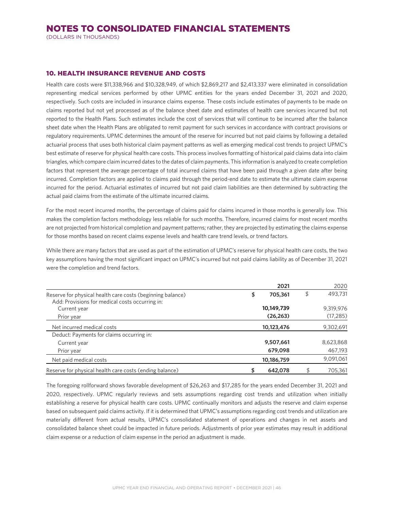(DOLLARS IN THOUSANDS)

## 10. HEALTH INSURANCE REVENUE AND COSTS

Health care costs were \$11,338,966 and \$10,328,949, of which \$2,869,217 and \$2,413,337 were eliminated in consolidation representing medical services performed by other UPMC entities for the years ended December 31, 2021 and 2020, respectively. Such costs are included in insurance claims expense. These costs include estimates of payments to be made on claims reported but not yet processed as of the balance sheet date and estimates of health care services incurred but not reported to the Health Plans. Such estimates include the cost of services that will continue to be incurred after the balance sheet date when the Health Plans are obligated to remit payment for such services in accordance with contract provisions or regulatory requirements. UPMC determines the amount of the reserve for incurred but not paid claims by following a detailed actuarial process that uses both historical claim payment patterns as well as emerging medical cost trends to project UPMC's best estimate of reserve for physical health care costs. This process involves formatting of historical paid claims data into claim triangles, which compare claim incurred dates to the dates of claim payments. This information is analyzed to create completion factors that represent the average percentage of total incurred claims that have been paid through a given date after being incurred. Completion factors are applied to claims paid through the period-end date to estimate the ultimate claim expense incurred for the period. Actuarial estimates of incurred but not paid claim liabilities are then determined by subtracting the actual paid claims from the estimate of the ultimate incurred claims.

For the most recent incurred months, the percentage of claims paid for claims incurred in those months is generally low. This makes the completion factors methodology less reliable for such months. Therefore, incurred claims for most recent months are not projected from historical completion and payment patterns; rather, they are projected by estimating the claims expense for those months based on recent claims expense levels and health care trend levels, or trend factors.

While there are many factors that are used as part of the estimation of UPMC's reserve for physical health care costs, the two key assumptions having the most significant impact on UPMC's incurred but not paid claims liability as of December 31, 2021 were the completion and trend factors.

|                                                                                                               | 2021          | 2020          |
|---------------------------------------------------------------------------------------------------------------|---------------|---------------|
| Reserve for physical health care costs (beginning balance)<br>Add: Provisions for medical costs occurring in: | \$<br>705,361 | \$<br>493,731 |
| Current year                                                                                                  | 10,149,739    | 9,319,976     |
| Prior year                                                                                                    | (26, 263)     | (17, 285)     |
| Net incurred medical costs                                                                                    | 10,123,476    | 9,302,691     |
| Deduct: Payments for claims occurring in:                                                                     |               |               |
| Current year                                                                                                  | 9,507,661     | 8,623,868     |
| Prior year                                                                                                    | 679,098       | 467,193       |
| Net paid medical costs                                                                                        | 10,186,759    | 9,091,061     |
| Reserve for physical health care costs (ending balance)                                                       | 642,078       | 705.361       |

The foregoing rollforward shows favorable development of \$26,263 and \$17,285 for the years ended December 31, 2021 and 2020, respectively. UPMC regularly reviews and sets assumptions regarding cost trends and utilization when initially establishing a reserve for physical health care costs. UPMC continually monitors and adjusts the reserve and claim expense based on subsequent paid claims activity. If it is determined that UPMC's assumptions regarding cost trends and utilization are materially different from actual results, UPMC's consolidated statement of operations and changes in net assets and consolidated balance sheet could be impacted in future periods. Adjustments of prior year estimates may result in additional claim expense or a reduction of claim expense in the period an adjustment is made.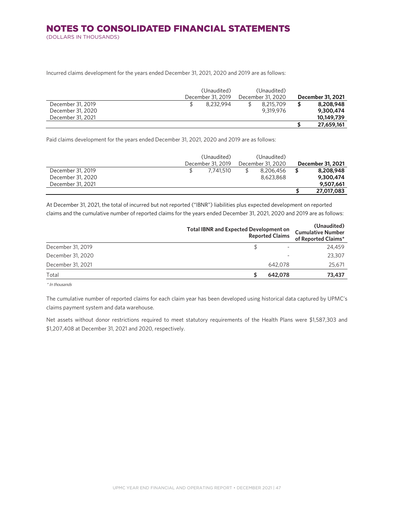## NOTES TO CONSOLIDATED FINANCIAL STATEMENTS (DOLLARS IN THOUSANDS)

Incurred claims development for the years ended December 31, 2021, 2020 and 2019 are as follows:

|                   | (Unaudited)       |  | (Unaudited)       |  |                   |
|-------------------|-------------------|--|-------------------|--|-------------------|
|                   | December 31, 2019 |  | December 31, 2020 |  | December 31, 2021 |
| December 31, 2019 | 8.232.994         |  | 8.215.709         |  | 8,208,948         |
| December 31, 2020 |                   |  | 9.319.976         |  | 9,300,474         |
| December 31, 2021 |                   |  |                   |  | 10,149,739        |
|                   |                   |  |                   |  | 27,659,161        |

Paid claims development for the years ended December 31, 2021, 2020 and 2019 are as follows:

|                   |                   | (Unaudited) |                   | (Unaudited) |                   |            |
|-------------------|-------------------|-------------|-------------------|-------------|-------------------|------------|
|                   | December 31, 2019 |             | December 31, 2020 |             | December 31, 2021 |            |
| December 31, 2019 |                   | 7.741.510   |                   | 8,206,456   |                   | 8,208,948  |
| December 31, 2020 |                   |             |                   | 8,623,868   |                   | 9,300,474  |
| December 31, 2021 |                   |             |                   |             |                   | 9,507,661  |
|                   |                   |             |                   |             | S                 | 27,017,083 |

At December 31, 2021, the total of incurred but not reported ("IBNR") liabilities plus expected development on reported claims and the cumulative number of reported claims for the years ended December 31, 2021, 2020 and 2019 are as follows:

|                   | <b>Total IBNR and Expected Development on</b> | <b>Reported Claims</b> | (Unaudited)<br><b>Cumulative Number</b><br>of Reported Claims* |
|-------------------|-----------------------------------------------|------------------------|----------------------------------------------------------------|
| December 31, 2019 |                                               |                        | 24,459                                                         |
| December 31, 2020 |                                               |                        | 23,307                                                         |
| December 31, 2021 |                                               | 642,078                | 25,671                                                         |
| Total             |                                               | 642,078                | 73,437                                                         |

\* In thousands

The cumulative number of reported claims for each claim year has been developed using historical data captured by UPMC's claims payment system and data warehouse.

Net assets without donor restrictions required to meet statutory requirements of the Health Plans were \$1,587,303 and \$1,207,408 at December 31, 2021 and 2020, respectively.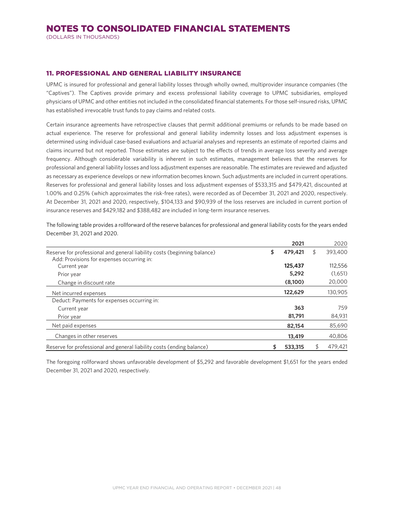(DOLLARS IN THOUSANDS)

#### 11. PROFESSIONAL AND GENERAL LIABILITY INSURANCE

UPMC is insured for professional and general liability losses through wholly owned, multiprovider insurance companies (the "Captives"). The Captives provide primary and excess professional liability coverage to UPMC subsidiaries, employed physicians of UPMC and other entities not included in the consolidated financial statements. For those self-insured risks, UPMC has established irrevocable trust funds to pay claims and related costs.

Certain insurance agreements have retrospective clauses that permit additional premiums or refunds to be made based on actual experience. The reserve for professional and general liability indemnity losses and loss adjustment expenses is determined using individual case-based evaluations and actuarial analyses and represents an estimate of reported claims and claims incurred but not reported. Those estimates are subject to the effects of trends in average loss severity and average frequency. Although considerable variability is inherent in such estimates, management believes that the reserves for professional and general liability losses and loss adjustment expenses are reasonable. The estimates are reviewed and adjusted as necessary as experience develops or new information becomes known. Such adjustments are included in current operations. Reserves for professional and general liability losses and loss adjustment expenses of \$533,315 and \$479,421, discounted at 1.00% and 0.25% (which approximates the risk-free rates), were recorded as of December 31, 2021 and 2020, respectively. At December 31, 2021 and 2020, respectively, \$104,133 and \$90,939 of the loss reserves are included in current portion of insurance reserves and \$429,182 and \$388,482 are included in long-term insurance reserves.

The following table provides a rollforward of the reserve balances for professional and general liability costs for the years ended December 31, 2021 and 2020.

|                                                                                                                        | 2021          | 2020          |
|------------------------------------------------------------------------------------------------------------------------|---------------|---------------|
| Reserve for professional and general liability costs (beginning balance)<br>Add: Provisions for expenses occurring in: | \$<br>479,421 | \$<br>393,400 |
| Current year                                                                                                           | 125,437       | 112,556       |
| Prior year                                                                                                             | 5,292         | (1,651)       |
| Change in discount rate                                                                                                | (8,100)       | 20,000        |
| Net incurred expenses                                                                                                  | 122,629       | 130,905       |
| Deduct: Payments for expenses occurring in:                                                                            |               |               |
| Current year                                                                                                           | 363           | 759           |
| Prior year                                                                                                             | 81,791        | 84,931        |
| Net paid expenses                                                                                                      | 82,154        | 85,690        |
| Changes in other reserves                                                                                              | 13,419        | 40,806        |
| Reserve for professional and general liability costs (ending balance)                                                  | \$<br>533,315 | 479,421       |

The foregoing rollforward shows unfavorable development of \$5,292 and favorable development \$1,651 for the years ended December 31, 2021 and 2020, respectively.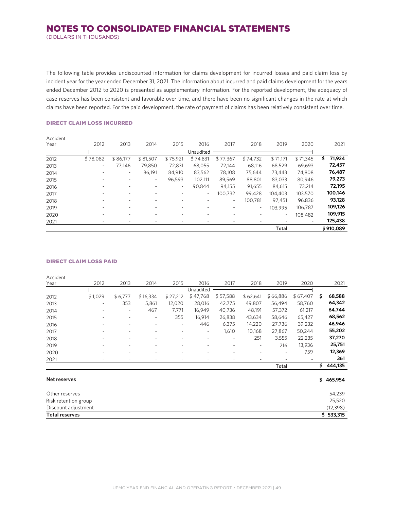(DOLLARS IN THOUSANDS)

The following table provides undiscounted information for claims development for incurred losses and paid claim loss by incident year for the year ended December 31, 2021. The information about incurred and paid claims development for the years ended December 2012 to 2020 is presented as supplementary information. For the reported development, the adequacy of case reserves has been consistent and favorable over time, and there have been no significant changes in the rate at which claims have been reported. For the paid development, the rate of payment of claims has been relatively consistent over time.

#### DIRECT CLAIM LOSS INCURRED

| Accident |          |          |                          |          |           |                          |                          |                          |          |              |
|----------|----------|----------|--------------------------|----------|-----------|--------------------------|--------------------------|--------------------------|----------|--------------|
| Year     | 2012     | 2013     | 2014                     | 2015     | 2016      | 2017                     | 2018                     | 2019                     | 2020     | 2021         |
|          |          |          |                          |          | Unaudited |                          |                          |                          |          |              |
| 2012     | \$78,082 | \$86,177 | \$81,507                 | \$75,921 | \$74,831  | \$77,367                 | \$74,732                 | \$71,171                 | \$71,345 | 71,924<br>\$ |
| 2013     | ۰        | 77.146   | 79.850                   | 72,831   | 68.055    | 72.144                   | 68,116                   | 68,529                   | 69,693   | 72,457       |
| 2014     | ٠        | ۰.       | 86,191                   | 84,910   | 83,562    | 78,108                   | 75.644                   | 73.443                   | 74,808   | 76,487       |
| 2015     |          | ۰        | ٠                        | 96.593   | 102.111   | 89,569                   | 88,801                   | 83,033                   | 80.946   | 79,273       |
| 2016     |          |          | ۰                        | ٠        | 90.844    | 94.155                   | 91.655                   | 84,615                   | 73,214   | 72,195       |
| 2017     |          | ۰        | $\overline{\phantom{a}}$ |          | $\sim$    | 100.732                  | 99.428                   | 104.403                  | 103,570  | 100,146      |
| 2018     |          | ٠        | $\overline{\phantom{a}}$ |          |           | $\overline{\phantom{a}}$ | 100.781                  | 97.451                   | 96,836   | 93,128       |
| 2019     |          | -        | -                        |          | ٠         | ٠                        | $\overline{\phantom{a}}$ | 103.995                  | 106,787  | 109,126      |
| 2020     |          | -        | -                        |          | -         |                          |                          | $\overline{\phantom{a}}$ | 108.482  | 109,915      |
| 2021     | -        | -        |                          |          |           |                          |                          |                          |          | 125,438      |
|          |          |          |                          |          |           |                          |                          | <b>Total</b>             |          | \$910,089    |

#### DIRECT CLAIM LOSS PAID

Accident

| Year                  | 2012                     | 2013    | 2014                     | 2015     | 2016      | 2017                     | 2018     | 2019     | 2020     | 2021          |
|-----------------------|--------------------------|---------|--------------------------|----------|-----------|--------------------------|----------|----------|----------|---------------|
|                       |                          |         |                          |          | Unaudited |                          |          |          |          |               |
| 2012                  | \$1,029                  | \$6,777 | \$16,334                 | \$27,212 | \$47,768  | \$57,588                 | \$62,641 | \$66,886 | \$67,407 | \$<br>68,588  |
| 2013                  | $\overline{\phantom{0}}$ | 353     | 5,861                    | 12,020   | 28,016    | 42,775                   | 49,807   | 56,494   | 58,760   | 64,342        |
| 2014                  |                          |         | 467                      | 7,771    | 16,949    | 40,736                   | 48,191   | 57,372   | 61,217   | 64,744        |
| 2015                  |                          | ٠       |                          | 355      | 16,914    | 26,838                   | 43,634   | 58,646   | 65,427   | 68,562        |
| 2016                  | -                        | ٠       | ٠                        | ٠        | 446       | 6,375                    | 14,220   | 27,736   | 39,232   | 46,946        |
| 2017                  | ٠                        |         |                          |          | ٠         | 1,610                    | 10,168   | 27,867   | 50,244   | 55,202        |
| 2018                  | -                        | ٠       | ۰                        | ۰        | ٠         | ٠                        | 251      | 3,555    | 22,235   | 37,270        |
| 2019                  |                          |         | ٠                        | ٠        | ٠         | $\overline{\phantom{a}}$ | ٠        | 216      | 13,936   | 25,751        |
| 2020                  |                          |         | $\overline{\phantom{a}}$ |          | ٠         | ۰                        |          |          | 759      | 12,369        |
| 2021                  | $\overline{\phantom{0}}$ | ٠       | ٠                        | ٠        | ٠         | $\overline{\phantom{0}}$ | ٠        |          |          | 361           |
|                       |                          |         |                          |          |           |                          |          | Total    |          | \$<br>444,135 |
| <b>Net reserves</b>   |                          |         |                          |          |           |                          |          |          |          | \$465,954     |
| Other reserves        |                          |         |                          |          |           |                          |          |          |          | 54,239        |
| Risk retention group  |                          |         |                          |          |           |                          |          |          |          | 25,520        |
| Discount adjustment   |                          |         |                          |          |           |                          |          |          |          | (12, 398)     |
| <b>Total reserves</b> |                          |         |                          |          |           |                          |          |          |          | \$533,315     |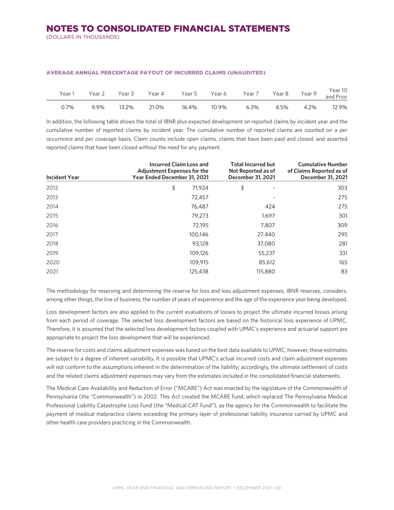(DOLLARS IN THOUSANDS)

| Year 1 | Year 2 | Year 3 | Year 4 | Year 5 | Year 6 | Year 7 | Year 8 | Year 9 | Year 10<br>and Prior |
|--------|--------|--------|--------|--------|--------|--------|--------|--------|----------------------|
| 0.7%   | 9.9%   | 13.2%  | 21.0%  | 16.4%  | 10.9%  | 6.3%   | 4.5%   | 4.2%   | 12.9%                |

#### AVERAGE ANNUAL PERCENTAGE PAYOUT OF INCURRED CLAIMS (UNAUDITED)

In addition, the following table shows the total of IBNR plus expected development on reported claims by incident year and the cumulative number of reported claims by incident year. The cumulative number of reported claims are counted on a per occurrence and per coverage basis. Claim counts include open claims, claims that have been paid and closed, and asserted reported claims that have been closed without the need for any payment.

| <b>Incident Year</b> | <b>Incurred Claim Loss and</b><br><b>Adjustment Expenses for the</b><br>Year Ended December 31, 2021 | <b>Total Incurred but</b><br>Not Reported as of<br>December 31, 2021 | <b>Cumulative Number</b><br>of Claims Reported as of<br>December 31, 2021 |  |  |
|----------------------|------------------------------------------------------------------------------------------------------|----------------------------------------------------------------------|---------------------------------------------------------------------------|--|--|
| 2012                 | 71,924<br>\$                                                                                         | \$<br>$\overline{\phantom{a}}$                                       | 303                                                                       |  |  |
| 2013                 | 72,457                                                                                               |                                                                      | 275                                                                       |  |  |
| 2014                 | 76,487                                                                                               | 424                                                                  | 275                                                                       |  |  |
| 2015                 | 79,273                                                                                               | 1,697                                                                | 301                                                                       |  |  |
| 2016                 | 72,195                                                                                               | 7,807                                                                | 309                                                                       |  |  |
| 2017                 | 100.146                                                                                              | 27,440                                                               | 295                                                                       |  |  |
| 2018                 | 93,128                                                                                               | 37,080                                                               | 281                                                                       |  |  |
| 2019                 | 109,126                                                                                              | 55,237                                                               | 331                                                                       |  |  |
| 2020                 | 109,915                                                                                              | 85,612                                                               | 165                                                                       |  |  |
| 2021                 | 125,438                                                                                              | 115,880                                                              | 83                                                                        |  |  |

The methodology for reserving and determining the reserve for loss and loss adjustment expenses, IBNR reserves, considers, among other things, the line of business, the number of years of experience and the age of the experience year being developed.

Loss development factors are also applied to the current evaluations of losses to project the ultimate incurred losses arising from each period of coverage. The selected loss development factors are based on the historical loss experience of UPMC. Therefore, it is assumed that the selected loss development factors coupled with UPMC's experience and actuarial support are appropriate to project the loss development that will be experienced.

The reserve for costs and claims adjustment expenses was based on the best data available to UPMC; however, these estimates are subject to a degree of inherent variability. It is possible that UPMC's actual incurred costs and claim adjustment expenses will not conform to the assumptions inherent in the determination of the liability; accordingly, the ultimate settlement of costs and the related claims adjustment expenses may vary from the estimates included in the consolidated financial statements.

The Medical Care Availability and Reduction of Error ("MCARE") Act was enacted by the legislature of the Commonwealth of Pennsylvania (the "Commonwealth") in 2002. This Act created the MCARE Fund, which replaced The Pennsylvania Medical Professional Liability Catastrophe Loss Fund (the "Medical CAT Fund"), as the agency for the Commonwealth to facilitate the payment of medical malpractice claims exceeding the primary layer of professional liability insurance carried by UPMC and other health care providers practicing in the Commonwealth.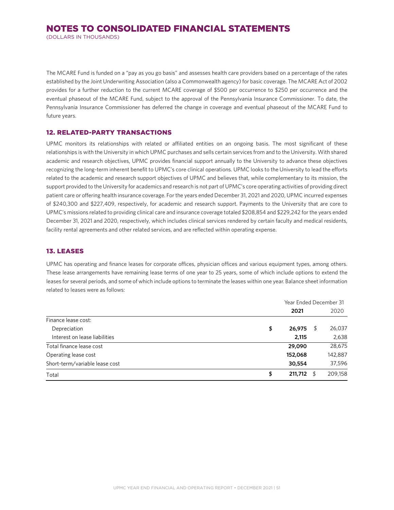(DOLLARS IN THOUSANDS)

The MCARE Fund is funded on a "pay as you go basis" and assesses health care providers based on a percentage of the rates established by the Joint Underwriting Association (also a Commonwealth agency) for basic coverage. The MCARE Act of 2002 provides for a further reduction to the current MCARE coverage of \$500 per occurrence to \$250 per occurrence and the eventual phaseout of the MCARE Fund, subject to the approval of the Pennsylvania Insurance Commissioner. To date, the Pennsylvania Insurance Commissioner has deferred the change in coverage and eventual phaseout of the MCARE Fund to future years.

## 12. RELATED-PARTY TRANSACTIONS

UPMC monitors its relationships with related or affiliated entities on an ongoing basis. The most significant of these relationships is with the University in which UPMC purchases and sells certain services from and to the University. With shared academic and research objectives, UPMC provides financial support annually to the University to advance these objectives recognizing the long-term inherent benefit to UPMC's core clinical operations. UPMC looks to the University to lead the efforts related to the academic and research support objectives of UPMC and believes that, while complementary to its mission, the support provided to the University for academics and research is not part of UPMC's core operating activities of providing direct patient care or offering health insurance coverage. For the years ended December 31, 2021 and 2020, UPMC incurred expenses of \$240,300 and \$227,409, respectively, for academic and research support. Payments to the University that are core to UPMC's missions related to providing clinical care and insurance coverage totaled \$208,854 and \$229,242 for the years ended December 31, 2021 and 2020, respectively, which includes clinical services rendered by certain faculty and medical residents, facility rental agreements and other related services, and are reflected within operating expense.

## 13. LEASES

UPMC has operating and finance leases for corporate offices, physician offices and various equipment types, among others. These lease arrangements have remaining lease terms of one year to 25 years, some of which include options to extend the leases for several periods, and some of which include options to terminate the leases within one year. Balance sheet information related to leases were as follows:

|                                | Year Ended December 31 |    |         |  |  |
|--------------------------------|------------------------|----|---------|--|--|
|                                | 2021                   |    | 2020    |  |  |
| Finance lease cost:            |                        |    |         |  |  |
| Depreciation                   | \$<br>26,975           | \$ | 26,037  |  |  |
| Interest on lease liabilities  | 2,115                  |    | 2,638   |  |  |
| Total finance lease cost       | 29,090                 |    | 28,675  |  |  |
| Operating lease cost           | 152,068                |    | 142,887 |  |  |
| Short-term/variable lease cost | 30,554                 |    | 37,596  |  |  |
| Total                          | \$<br>211,712          | S  | 209,158 |  |  |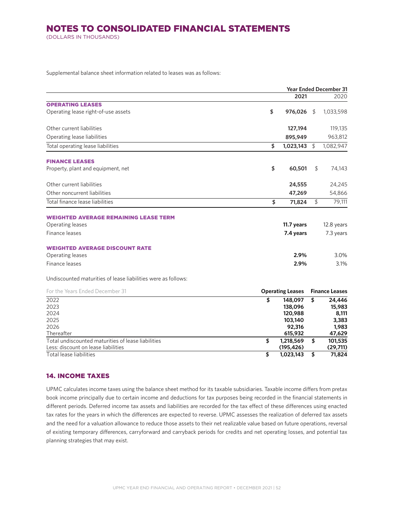(DOLLARS IN THOUSANDS)

Supplemental balance sheet information related to leases was as follows:

|                                                               | <b>Year Ended December 31</b> |            |    |            |  |
|---------------------------------------------------------------|-------------------------------|------------|----|------------|--|
|                                                               |                               | 2021       |    | 2020       |  |
| <b>OPERATING LEASES</b>                                       |                               |            |    |            |  |
| Operating lease right-of-use assets                           | \$                            | 976,026    | \$ | 1,033,598  |  |
| Other current liabilities                                     |                               | 127,194    |    | 119,135    |  |
| Operating lease liabilities                                   |                               | 895,949    |    | 963,812    |  |
| Total operating lease liabilities                             | \$                            | 1,023,143  | \$ | 1,082,947  |  |
| <b>FINANCE LEASES</b>                                         |                               |            |    |            |  |
| Property, plant and equipment, net                            | \$                            | 60,501     | \$ | 74,143     |  |
| Other current liabilities                                     |                               | 24,555     |    | 24,245     |  |
| Other noncurrent liabilities                                  |                               | 47,269     |    | 54,866     |  |
| Total finance lease liabilities                               | \$                            | 71,824     | \$ | 79,111     |  |
| <b>WEIGHTED AVERAGE REMAINING LEASE TERM</b>                  |                               |            |    |            |  |
| Operating leases                                              |                               | 11.7 years |    | 12.8 years |  |
| Finance leases                                                |                               | 7.4 years  |    | 7.3 years  |  |
| <b>WEIGHTED AVERAGE DISCOUNT RATE</b>                         |                               |            |    |            |  |
| Operating leases                                              |                               | 2.9%       |    | 3.0%       |  |
| Finance leases                                                |                               | 2.9%       |    | 3.1%       |  |
| Undiscounted maturities of lease liabilities were as follows: |                               |            |    |            |  |

| For the Years Ended December 31                    | <b>Operating Leases</b> |    | <b>Finance Leases</b> |  |  |
|----------------------------------------------------|-------------------------|----|-----------------------|--|--|
| 2022                                               | 148,097<br>\$           | \$ | 24,446                |  |  |
| 2023                                               | 138,096                 |    | 15,983                |  |  |
| 2024                                               | 120,988                 |    | 8,111                 |  |  |
| 2025                                               | 103,140                 |    | 3,383                 |  |  |
| 2026                                               | 92,316                  |    | 1,983                 |  |  |
| Thereafter                                         | 615,932                 |    | 47,629                |  |  |
| Total undiscounted maturities of lease liabilities | 1,218,569<br>S          | \$ | 101,535               |  |  |
| Less: discount on lease liabilities                | (195, 426)              |    | (29,711)              |  |  |
| Total lease liabilities                            | 1,023,143               | S  | 71,824                |  |  |

## 14. INCOME TAXES

UPMC calculates income taxes using the balance sheet method for its taxable subsidiaries. Taxable income differs from pretax book income principally due to certain income and deductions for tax purposes being recorded in the financial statements in different periods. Deferred income tax assets and liabilities are recorded for the tax effect of these differences using enacted tax rates for the years in which the differences are expected to reverse. UPMC assesses the realization of deferred tax assets and the need for a valuation allowance to reduce those assets to their net realizable value based on future operations, reversal of existing temporary differences, carryforward and carryback periods for credits and net operating losses, and potential tax planning strategies that may exist.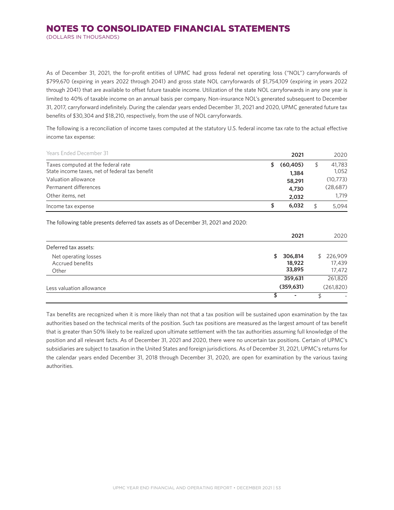(DOLLARS IN THOUSANDS)

As of December 31, 2021, the for-profit entities of UPMC had gross federal net operating loss ("NOL") carryforwards of \$799,670 (expiring in years 2022 through 2041) and gross state NOL carryforwards of \$1,754,109 (expiring in years 2022 through 2041) that are available to offset future taxable income. Utilization of the state NOL carryforwards in any one year is limited to 40% of taxable income on an annual basis per company. Non-insurance NOL's generated subsequent to December 31, 2017, carryforward indefinitely. During the calendar years ended December 31, 2021 and 2020, UPMC generated future tax benefits of \$30,304 and \$18,210, respectively, from the use of NOL carryforwards.

The following is a reconciliation of income taxes computed at the statutory U.S. federal income tax rate to the actual effective income tax expense:

| <b>Years Ended December 31</b>                 |    | 2021      | 2020     |
|------------------------------------------------|----|-----------|----------|
| Taxes computed at the federal rate             | S. | (60, 405) | 41,783   |
| State income taxes, net of federal tax benefit |    | 1,384     | 1.052    |
| Valuation allowance                            |    | 58,291    | (10,773) |
| Permanent differences                          |    | 4,730     | (28,687) |
| Other items, net                               |    | 2,032     | 1.719    |
| Income tax expense                             | S  | 6,032     | 5.094    |

The following table presents deferred tax assets as of December 31, 2021 and 2020:

|                                                   | 2021                              | 2020                          |
|---------------------------------------------------|-----------------------------------|-------------------------------|
| Deferred tax assets:                              |                                   |                               |
| Net operating losses<br>Accrued benefits<br>Other | 306,814<br>\$<br>18,922<br>33,895 | \$226,909<br>17,439<br>17,472 |
|                                                   | 359,631                           | 261,820                       |
| Less valuation allowance                          | (359, 631)                        | (261, 820)                    |
|                                                   |                                   |                               |

Tax benefits are recognized when it is more likely than not that a tax position will be sustained upon examination by the tax authorities based on the technical merits of the position. Such tax positions are measured as the largest amount of tax benefit that is greater than 50% likely to be realized upon ultimate settlement with the tax authorities assuming full knowledge of the position and all relevant facts. As of December 31, 2021 and 2020, there were no uncertain tax positions. Certain of UPMC's subsidiaries are subject to taxation in the United States and foreign jurisdictions. As of December 31, 2021, UPMC's returns for the calendar years ended December 31, 2018 through December 31, 2020, are open for examination by the various taxing authorities.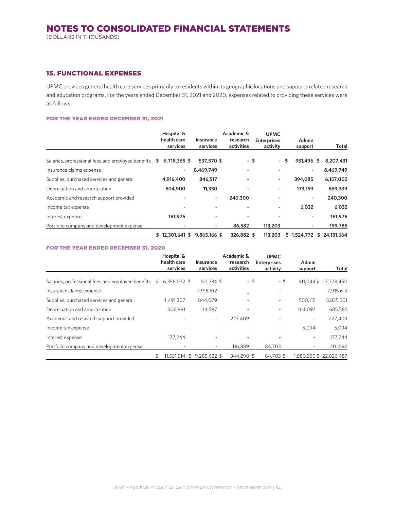#### 15. FUNCTIONAL EXPENSES

UPMC provides general health care services primarily to residents within its geographic locations and supports related research and education programs. For the years ended December 31, 2021 and 2020, expenses related to providing these services were as follows:

#### FOR THE YEAR ENDED DECEMBER 31, 2021

|                                                   | Hospital &<br>health care<br>services | Insurance<br>services | Academic &<br>research<br>activities | <b>UPMC</b><br><b>Enterprises</b><br>activity | Admin<br>support | Total            |
|---------------------------------------------------|---------------------------------------|-----------------------|--------------------------------------|-----------------------------------------------|------------------|------------------|
| Salaries, professional fees and employee benefits | 6,718,365 \$<br>\$                    | 537,570 \$            | - \$                                 | ۰                                             | \$<br>951,496 \$ | 8,207,431        |
| Insurance claims expense                          | ۰                                     | 8,469,749             |                                      |                                               |                  | 8,469,749        |
| Supplies, purchased services and general          | 4,916,400                             | 846,517               |                                      | -                                             | 394,085          | 6,157,002        |
| Depreciation and amortization                     | 504,900                               | 11,330                |                                      | -                                             | 173,159          | 689,389          |
| Academic and research support provided            |                                       | ٠                     | 240,300                              |                                               |                  | 240,300          |
| Income tax expense                                |                                       |                       |                                      | -                                             | 6,032            | 6,032            |
| Interest expense                                  | 161,976                               |                       |                                      |                                               | ٠                | 161,976          |
| Portfolio company and development expense         |                                       |                       | 86,582                               | 113,203                                       |                  | 199,785          |
|                                                   | $$12.301.641$ \$                      | 9,865,166 \$          | 326.882 \$                           | 113,203                                       | 1,524,772<br>S   | 24.131.664<br>\$ |

#### FOR THE YEAR ENDED DECEMBER 31, 2020

|                                                   |    | Hospital &<br>health care<br>services | Insurance<br>services | Academic &<br>research<br>activities | <b>UPMC</b><br><b>Enterprises</b><br>activity | Admin<br>support         | Total                  |
|---------------------------------------------------|----|---------------------------------------|-----------------------|--------------------------------------|-----------------------------------------------|--------------------------|------------------------|
| Salaries, professional fees and employee benefits | S  | 6,356,072 \$                          | 511,334 \$            | - \$                                 | - \$                                          | 911.044\$                | 7,778,450              |
| Insurance claims expense                          |    | ٠                                     | 7,915,612             |                                      |                                               | $\overline{\phantom{a}}$ | 7,915,612              |
| Supplies, purchased services and general          |    | 4,491,307                             | 844,079               |                                      | ۰.                                            | 500,115                  | 5,835,501              |
| Depreciation and amortization                     |    | 506,891                               | 14,597                |                                      | ۰.                                            | 164,097                  | 685,585                |
| Academic and research support provided            |    |                                       | ٠                     | 227,409                              |                                               | ٠                        | 227,409                |
| Income tax expense                                |    | ۰                                     |                       |                                      |                                               | 5.094                    | 5.094                  |
| Interest expense                                  |    | 177.244                               |                       |                                      |                                               | $\overline{\phantom{a}}$ | 177.244                |
| Portfolio company and development expense         |    |                                       |                       | 116,889                              | 84,703                                        | ٠                        | 201,592                |
|                                                   | \$ | 11.531.514 \$                         | 9.285.622 \$          | 344.298 \$                           | 84.703 \$                                     |                          | 1.580.350 \$22.826.487 |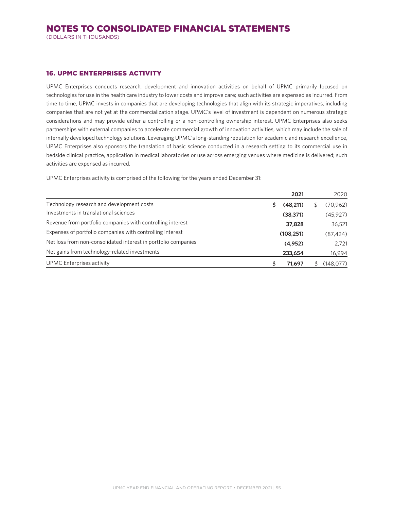(DOLLARS IN THOUSANDS)

#### 16. UPMC ENTERPRISES ACTIVITY

UPMC Enterprises conducts research, development and innovation activities on behalf of UPMC primarily focused on technologies for use in the health care industry to lower costs and improve care; such activities are expensed as incurred. From time to time, UPMC invests in companies that are developing technologies that align with its strategic imperatives, including companies that are not yet at the commercialization stage. UPMC's level of investment is dependent on numerous strategic considerations and may provide either a controlling or a non-controlling ownership interest. UPMC Enterprises also seeks partnerships with external companies to accelerate commercial growth of innovation activities, which may include the sale of internally developed technology solutions. Leveraging UPMC's long-standing reputation for academic and research excellence, UPMC Enterprises also sponsors the translation of basic science conducted in a research setting to its commercial use in bedside clinical practice, application in medical laboratories or use across emerging venues where medicine is delivered; such activities are expensed as incurred.

UPMC Enterprises activity is comprised of the following for the years ended December 31:

|                                                                | 2021           | 2020      |
|----------------------------------------------------------------|----------------|-----------|
| Technology research and development costs                      | \$<br>(48,211) | (70,962)  |
| Investments in translational sciences                          | (38, 371)      | (45, 927) |
| Revenue from portfolio companies with controlling interest     | 37,828         | 36,521    |
| Expenses of portfolio companies with controlling interest      | (108, 251)     | (87, 424) |
| Net loss from non-consolidated interest in portfolio companies | (4,952)        | 2.721     |
| Net gains from technology-related investments                  | 233,654        | 16,994    |
| UPMC Enterprises activity                                      | 71,697         | (148,077) |